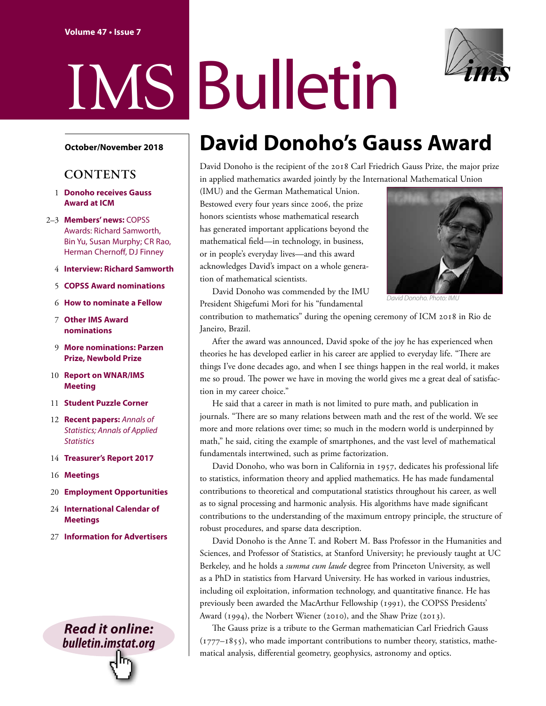# IMS Bulletin

#### **October/November 2018**

### **CONTENTS**

- 1 **Donoho receives Gauss Award at ICM**
- 2–3 **Members' news:** COPSS [Awards: Richard Samworth](#page-1-0), [Bin Yu, Susan Murphy;](#page-1-0) [CR Rao,](#page-2-0)  [Herman Chernoff, DJ Finney](#page-2-0)
	- 4 **[Interview: Richard Samworth](#page-3-0)**
	- 5 **[COPSS Award nominations](#page-4-0)**
	- 6 **[How to nominate a Fellow](#page-5-0)**
	- 7 **[Other IMS Award](#page-6-0)  nominations**
	- 9 **[More nominations: Parzen](#page-8-0)  Prize, Newbold Prize**
- 10 **[Report on WNAR/IMS](#page-9-0)  Meeting**
- 11 **[Student Puzzle Corner](#page-10-0)**
- 12 **[Recent papers:](#page-11-0)** *Annals of [Statistics](#page-11-0); [Annals of Applied](#page-11-0)  [Statistics](#page-11-0)*
- 14 **[Treasurer's Report 2017](#page-13-0)**
- 16 **[Meetings](#page-15-0)**
- 20 **Employment [Opportunities](#page-19-0)**
- 24 **[International Calendar of](#page-23-0)  Meetings**
- 27 **[Information for Advertisers](#page-26-0)**

### *Read it online: [bulletin.imstat.org](http://bulletin.imstat.org)*

Гn,

## **David Donoho's Gauss Award**

David Donoho is the recipient of the 2018 Carl Friedrich Gauss Prize, the major prize in applied mathematics awarded jointly by the International Mathematical Union

(IMU) and the German Mathematical Union. Bestowed every four years since 2006, the prize honors scientists whose mathematical research has generated important applications beyond the mathematical field—in technology, in business, or in people's everyday lives—and this award acknowledges David's impact on a whole generation of mathematical scientists.



*David Donoho. Photo: IMU*

David Donoho was commended by the IMU President Shigefumi Mori for his "fundamental

contribution to mathematics" during the opening ceremony of ICM 2018 in Rio de Janeiro, Brazil.

After the award was announced, David spoke of the joy he has experienced when theories he has developed earlier in his career are applied to everyday life. "There are things I've done decades ago, and when I see things happen in the real world, it makes me so proud. The power we have in moving the world gives me a great deal of satisfaction in my career choice."

He said that a career in math is not limited to pure math, and publication in journals. "There are so many relations between math and the rest of the world. We see more and more relations over time; so much in the modern world is underpinned by math," he said, citing the example of smartphones, and the vast level of mathematical fundamentals intertwined, such as prime factorization.

David Donoho, who was born in California in 1957, dedicates his professional life to statistics, information theory and applied mathematics. He has made fundamental contributions to theoretical and computational statistics throughout his career, as well as to signal processing and harmonic analysis. His algorithms have made significant contributions to the understanding of the maximum entropy principle, the structure of robust procedures, and sparse data description.

David Donoho is the Anne T. and Robert M. Bass Professor in the Humanities and Sciences, and Professor of Statistics, at Stanford University; he previously taught at UC Berkeley, and he holds a *summa cum laude* degree from Princeton University, as well as a PhD in statistics from Harvard University. He has worked in various industries, including oil exploitation, information technology, and quantitative finance. He has previously been awarded the MacArthur Fellowship (1991), the COPSS Presidents' Award (1994), the Norbert Wiener (2010), and the Shaw Prize (2013).

The Gauss prize is a tribute to the German mathematician Carl Friedrich Gauss  $(1777-1855)$ , who made important contributions to number theory, statistics, mathematical analysis, differential geometry, geophysics, astronomy and optics.

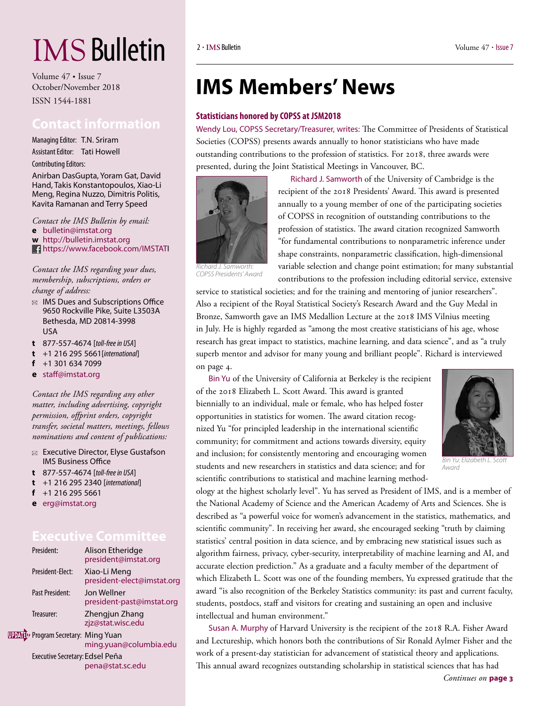# <span id="page-1-0"></span>IMS Bulletin

Volume 47 • Issue 7 October/November 2018 ISSN 1544-1881

### **Contact information**

Managing Editor: T.N. Sriram Assistant Editor: Tati Howell Contributing Editors:

Anirban DasGupta, Yoram Gat, David Hand, Takis Konstantopoulos, Xiao-Li Meng, Regina Nuzzo, Dimitris Politis, Kavita Ramanan and Terry Speed

*Contact the IMS Bulletin by email:* **e** [bulletin@imstat.org](mailto:bulletin@imstat.org) 

**w** <http://bulletin.imstat.org>

<https://www.facebook.com/IMSTATI>

*Contact the IMS regarding your dues, membership, subscriptions, orders or change of address:* 

- $\boxtimes$  IMS Dues and Subscriptions Office 9650 Rockville Pike, Suite L3503A Bethesda, MD 20814-3998 USA
- **t** 877-557-4674 [*toll-free in USA*]
- **t** +1 216 295 5661[*international*]
- **f** +1 301 634 7099
- **e** [staff@imstat.org](mailto:staff@imstat.org)

*Contact the IMS regarding any other matter, including advertising, copyright permission, offprint orders, copyright transfer, societal matters, meetings, fellows nominations and content of publications:*

- $\boxtimes$  Executive Director, Elyse Gustafson IMS Business Office
- **t** 877-557-4674 [*toll-free in USA*]
- **t** +1 216 295 2340 [*international*]
- **f** +1 216 295 5661
- **e** [erg@imstat.org](mailto:erg@imstat.org)

### **Executive Committee**

| President:                                | Alison Etheridge<br>president@imstat.org   |
|-------------------------------------------|--------------------------------------------|
| President-Flect:                          | Xiao-Li Meng<br>president-elect@imstat.org |
| Past President:                           | Jon Wellner<br>president-past@imstat.org   |
| Treasurer:                                | Zhengjun Zhang<br>zjz@stat.wisc.edu        |
| <b>PDATI</b> Program Secretary: Ming Yuan | ming.yuan@columbia.edu                     |
| Executive Secretary: Edsel Peña           | pena@stat.sc.edu                           |

## **IMS Members' News**

#### **Statisticians honored by COPSS at JSM2018**

Wendy Lou, COPSS Secretary/Treasurer, writes: The Committee of Presidents of Statistical Societies (COPSS) presents awards annually to honor statisticians who have made outstanding contributions to the profession of statistics. For 2018, three awards were presented, during the Joint Statistical Meetings in Vancouver, BC.



[Richard J. Samworth](http://www.statslab.cam.ac.uk/~rjs57/) of the University of Cambridge is the recipient of the 2018 Presidents' Award. This award is presented annually to a young member of one of the participating societies of COPSS in recognition of outstanding contributions to the profession of statistics. The award citation recognized Samworth "for fundamental contributions to nonparametric inference under shape constraints, nonparametric classification, high-dimensional variable selection and change point estimation; for many substantial contributions to the profession including editorial service, extensive

*Richard J. Samworth: COPSS Presidents' Award*

service to statistical societies; and for the training and mentoring of junior researchers". Also a recipient of the Royal Statistical Society's Research Award and the Guy Medal in Bronze, Samworth gave an IMS Medallion Lecture at the 2018 IMS Vilnius meeting in July. He is highly regarded as "among the most creative statisticians of his age, whose research has great impact to statistics, machine learning, and data science", and as "a truly superb mentor and advisor for many young and brilliant people". [Richard is interviewed](#page-3-0)  [on page 4.](#page-3-0)

[Bin Yu](https://www.stat.berkeley.edu/~binyu/Site/Welcome.html) of the University of California at Berkeley is the recipient of the 2018 Elizabeth L. Scott Award. This award is granted biennially to an individual, male or female, who has helped foster opportunities in statistics for women. The award citation recognized Yu "for principled leadership in the international scientific community; for commitment and actions towards diversity, equity and inclusion; for consistently mentoring and encouraging women students and new researchers in statistics and data science; and for scientific contributions to statistical and machine learning method-



*Award*

ology at the highest scholarly level". Yu has served as President of IMS, and is a member of the National Academy of Science and the American Academy of Arts and Sciences. She is described as "a powerful voice for women's advancement in the statistics, mathematics, and scientific community". In receiving her award, she encouraged seeking "truth by claiming statistics' central position in data science, and by embracing new statistical issues such as algorithm fairness, privacy, cyber-security, interpretability of machine learning and AI, and accurate election prediction." As a graduate and a faculty member of the department of which Elizabeth L. Scott was one of the founding members, Yu expressed gratitude that the award "is also recognition of the Berkeley Statistics community: its past and current faculty, students, postdocs, staff and visitors for creating and sustaining an open and inclusive intellectual and human environment."

[Susan A. Murphy](http://people.seas.harvard.edu/~samurphy/) of Harvard University is the recipient of the 2018 R.A. Fisher Award and Lectureship, which honors both the contributions of Sir Ronald Aylmer Fisher and the work of a present-day statistician for advancement of statistical theory and applications. This annual award recognizes outstanding scholarship in statistical sciences that has had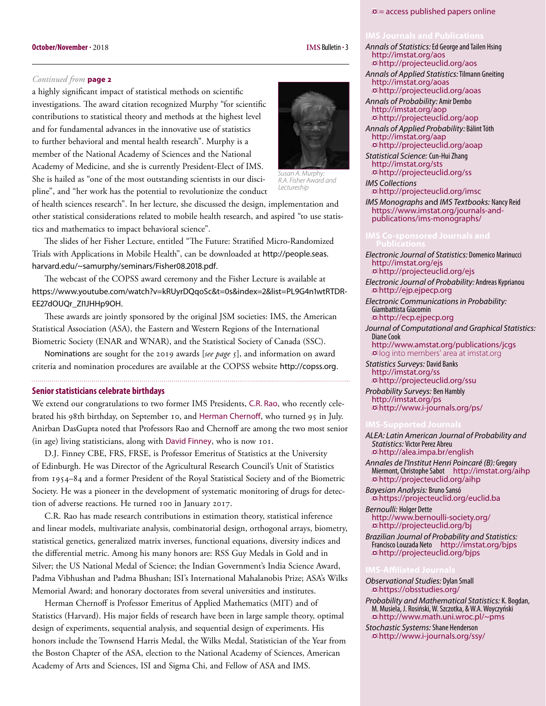#### <span id="page-2-0"></span>**IMS** Bulletin **. October/November** 3 **.** 2018

#### *Continued from* **page 2**

a highly significant impact of statistical methods on scientific investigations. The award citation recognized Murphy "for scientific contributions to statistical theory and methods at the highest level and for fundamental advances in the innovative use of statistics to further behavioral and mental health research". Murphy is a member of the National Academy of Sciences and the National Academy of Medicine, and she is currently President-Elect of IMS. She is hailed as "one of the most outstanding scientists in our discipline", and "her work has the potential to revolutionize the conduct

*Susan A. Murphy: Lectureship* of health sciences research". In her lecture, she discussed the design, implementation and

other statistical considerations related to mobile health research, and aspired "to use statistics and mathematics to impact behavioral science".

The slides of her Fisher Lecture, entitled "The Future: Stratified Micro-Randomized Trials with Applications in Mobile Health", can be downloaded at [http://people.seas.](http://people.seas.harvard.edu/~samurphy/seminars/Fisher08.2018.pdf) [harvard.edu/~samurphy/seminars/Fisher08.2018.pdf](http://people.seas.harvard.edu/~samurphy/seminars/Fisher08.2018.pdf).

The webcast of the COPSS award ceremony and the Fisher Lecture is available at [https://www.youtube.com/watch?v=kRUyrDQqoSc&t=0s&index=2&list=PL9G4n1wtRTDR-](https://www.youtube.com/watch?v=kRUyrDQqoSc&t=0s&index=2&list=PL9G4n1wtRTDR-EE27dOUQr_ZI1JHHp9OH)[EE27dOUQr\\_ZI1JHHp9OH](https://www.youtube.com/watch?v=kRUyrDQqoSc&t=0s&index=2&list=PL9G4n1wtRTDR-EE27dOUQr_ZI1JHHp9OH).

These awards are jointly sponsored by the original JSM societies: IMS, the American Statistical Association (ASA), the Eastern and Western Regions of the International Biometric Society (ENAR and WNAR), and the Statistical Society of Canada (SSC).

Nominations [are sought for the 2019 awards \[](#page-4-0)*see page 5*], and information on award criteria and nomination procedures are available at the COPSS website [http://copss.org](http://copss.org/).

#### **Senior statisticians celebrate birthdays**

We extend our congratulations to two former IMS Presidents, C.R. Rao, who recently celebrated his 98th birthday, on September 10, and Herman Chernoff, who turned 95 in July. Anirban DasGupta noted that Professors Rao and Chernoff are among the two most senior (in age) living statisticians, along with David Finney, who is now 101.

D.J. Finney CBE, FRS, FRSE, is Professor Emeritus of Statistics at the University of Edinburgh. He was Director of the Agricultural Research Council's Unit of Statistics from 1954–84 and a former President of the Royal Statistical Society and of the Biometric Society. He was a pioneer in the development of systematic monitoring of drugs for detection of adverse reactions. He turned 100 in January 2017.

C.R. Rao has made research contributions in estimation theory, statistical inference and linear models, multivariate analysis, combinatorial design, orthogonal arrays, biometry, statistical genetics, generalized matrix inverses, functional equations, diversity indices and the differential metric. Among his many honors are: RSS Guy Medals in Gold and in Silver; the US National Medal of Science; the Indian Government's India Science Award, Padma Vibhushan and Padma Bhushan; ISI's International Mahalanobis Prize; ASA's Wilks Memorial Award; and honorary doctorates from several universities and institutes.

Herman Chernoff is Professor Emeritus of Applied Mathematics (MIT) and of Statistics (Harvard). His major fields of research have been in large sample theory, optimal design of experiments, sequential analysis, and sequential design of experiments. His honors include the Townsend Harris Medal, the Wilks Medal, Statistician of the Year from the Boston Chapter of the ASA, election to the National Academy of Sciences, American Academy of Arts and Sciences, ISI and Sigma Chi, and Fellow of ASA and IMS.



*R.A. Fisher Award and* 

<http://projecteuclid.org/ss> *IMS Collections* <http://projecteuclid.org/imsc>

*IMS Monographs* and *IMS Textbooks:* Nancy Reid [https://www.imstat.org/journals-and](https://www.imstat.org/journals-and-publications/ims-monographs/)[publications/ims-monographs/](https://www.imstat.org/journals-and-publications/ims-monographs/)

- *Electronic Journal of Statistics:* Domenico Marinucci <http://imstat.org/ejs> <http://projecteuclid.org/ejs>
- *Electronic Journal of Probability:* Andreas Kyprianou <http://ejp.ejpecp.org>
- *Electronic Communications in Probability:*  Giambattista Giacomin <http://ecp.ejpecp.org>

*Journal of Computational and Graphical Statistics:*  Diane Cook <http://www.amstat.org/publications/jcgs>

**D**log into members' area at imstat.org *Statistics Surveys:* David Banks

<http://imstat.org/ss> <http://projecteuclid.org/ssu>

*Probability Surveys:* Ben Hambly <http://imstat.org/ps> <http://www.i-journals.org/ps/>

*ALEA: Latin American Journal of Probability and Statistics:* Victor Perez Abreu <http://alea.impa.br/english>

*Annales de l'Institut Henri Poincaré (B):* Gregory Miermont, Christophe Sabot <http://imstat.org/aihp> <http://projecteuclid.org/aihp>

*Bayesian Analysis:* Bruno Sansó <https://projecteuclid.org/euclid.ba> *Bernoulli:* Holger Dette

[http://www.bernoulli-society.org/](http://www.bernoulli-society.org/index.php/publications/bernoulli-journal/bernoulli-journal) <http://projecteuclid.org/bj>

*Brazilian Journal of Probability and Statistics:*  Francisco Louzada Neto <http://imstat.org/bjps> <http://projecteuclid.org/bjps>

#### *Observational Studies:* Dylan Small <https://obsstudies.org/>

*Probability and Mathematical Statistics:* K. Bogdan, M. Musiela, J. Rosiński, W. Szczotka, & W.A. Woyczyński <http://www.math.uni.wroc.pl/~pms>

*Stochastic Systems:* Shane Henderson <http://www.i-journals.org/ssy/>

#### $\omega$  = access published papers online

*Annals of Statistics:* Ed George and Tailen Hsing

<http://projecteuclid.org/aos> *Annals of Applied Statistics:* Tilmann Gneiting

<http://projecteuclid.org/aoas> *Annals of Probability:* Amir Dembo <http://imstat.org/aop>

<http://projecteuclid.org/aop> *Annals of Applied Probability:* Bálint Tóth

<http://projecteuclid.org/aoap> *Statistical Science:* Cun-Hui Zhang <http://imstat.org/sts>

<http://imstat.org/aos>

<http://imstat.org/aoas>

<http://imstat.org/aap>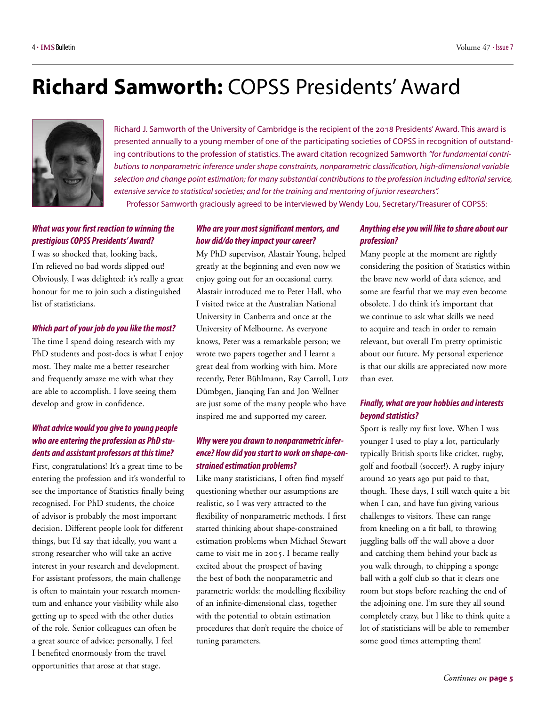## <span id="page-3-0"></span>**Richard Samworth:** COPSS Presidents' Award



[Richard J. Samworth](http://www.statslab.cam.ac.uk/~rjs57/) of the University of Cambridge is the recipient of the 2018 Presidents' Award. This award is presented annually to a young member of one of the participating societies of COPSS in recognition of outstanding contributions to the profession of statistics. The award citation recognized Samworth *"for fundamental contributions to nonparametric inference under shape constraints, nonparametric classification, high-dimensional variable selection and change point estimation; for many substantial contributions to the profession including editorial service, extensive service to statistical societies; and for the training and mentoring of junior researchers".* 

Professor Samworth graciously agreed to be interviewed by Wendy Lou, Secretary/Treasurer of COPSS:

#### *What was your first reaction to winning the prestigious COPSS Presidents' Award?*

I was so shocked that, looking back, I'm relieved no bad words slipped out! Obviously, I was delighted: it's really a great honour for me to join such a distinguished list of statisticians.

#### *Which part of your job do you like the most?*

The time I spend doing research with my PhD students and post-docs is what I enjoy most. They make me a better researcher and frequently amaze me with what they are able to accomplish. I love seeing them develop and grow in confidence.

#### *What advice would you give to young people who are entering the profession as PhD students and assistant professors at this time?*

First, congratulations! It's a great time to be entering the profession and it's wonderful to see the importance of Statistics finally being recognised. For PhD students, the choice of advisor is probably the most important decision. Different people look for different things, but I'd say that ideally, you want a strong researcher who will take an active interest in your research and development. For assistant professors, the main challenge is often to maintain your research momentum and enhance your visibility while also getting up to speed with the other duties of the role. Senior colleagues can often be a great source of advice; personally, I feel I benefited enormously from the travel opportunities that arose at that stage.

#### *Who are your most significant mentors, and how did/do they impact your career?*

My PhD supervisor, Alastair Young, helped greatly at the beginning and even now we enjoy going out for an occasional curry. Alastair introduced me to Peter Hall, who I visited twice at the Australian National University in Canberra and once at the University of Melbourne. As everyone knows, Peter was a remarkable person; we wrote two papers together and I learnt a great deal from working with him. More recently, Peter Bühlmann, Ray Carroll, Lutz Dümbgen, Jianqing Fan and Jon Wellner are just some of the many people who have inspired me and supported my career.

#### *Why were you drawn to nonparametric inference? How did you start to work on shape-constrained estimation problems?*

Like many statisticians, I often find myself questioning whether our assumptions are realistic, so I was very attracted to the flexibility of nonparametric methods. I first started thinking about shape-constrained estimation problems when Michael Stewart came to visit me in 2005. I became really excited about the prospect of having the best of both the nonparametric and parametric worlds: the modelling flexibility of an infinite-dimensional class, together with the potential to obtain estimation procedures that don't require the choice of tuning parameters.

#### *Anything else you will like to share about our profession?*

Many people at the moment are rightly considering the position of Statistics within the brave new world of data science, and some are fearful that we may even become obsolete. I do think it's important that we continue to ask what skills we need to acquire and teach in order to remain relevant, but overall I'm pretty optimistic about our future. My personal experience is that our skills are appreciated now more than ever.

#### *Finally, what are your hobbies and interests beyond statistics?*

Sport is really my first love. When I was younger I used to play a lot, particularly typically British sports like cricket, rugby, golf and football (soccer!). A rugby injury around 20 years ago put paid to that, though. These days, I still watch quite a bit when I can, and have fun giving various challenges to visitors. These can range from kneeling on a fit ball, to throwing juggling balls off the wall above a door and catching them behind your back as you walk through, to chipping a sponge ball with a golf club so that it clears one room but stops before reaching the end of the adjoining one. I'm sure they all sound completely crazy, but I like to think quite a lot of statisticians will be able to remember some good times attempting them!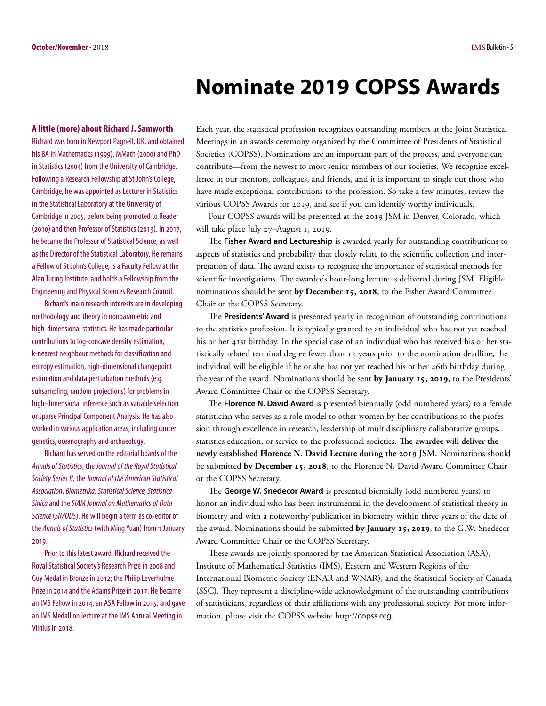## **Nominate 2019 COPSS Awards**

<span id="page-4-0"></span>**A little (more) about Richard J. Samworth**

Richard was born in Newport Pagnell, UK, and obtained his BA in Mathematics (1999), MMath (2000) and PhD in Statistics (2004) from the University of Cambridge. Following a Research Fellowship at St John's College, Cambridge, he was appointed as Lecturer in Statistics in the Statistical Laboratory at the University of Cambridge in 2005, before being promoted to Reader (2010) and then Professor of Statistics (2013). In 2017, he became the Professor of Statistical Science, as well as the Director of the Statistical Laboratory. He remains a Fellow of St John's College, is a Faculty Fellow at the Alan Turing Institute, and holds a Fellowship from the Engineering and Physical Sciences Research Council.

Richard's main research interests are in developing methodology and theory in nonparametric and high-dimensional statistics. He has made particular contributions to log-concave density estimation, k-nearest neighbour methods for classification and entropy estimation, high-dimensional changepoint estimation and data perturbation methods (e.g. subsampling, random projections) for problems in high-dimensional inference such as variable selection or sparse Principal Component Analysis. He has also worked in various application areas, including cancer genetics, oceanography and archaeology.

Richard has served on the editorial boards of the *Annals of Statistics*, the *Journal of the Royal Statistical Society Series B*, the *Journal of the American Statistical Association*, *Biometrika, Statistical Science, Statistica Sinica* and the *SIAM Journal on Mathematics of Data Science* (*SIMODS*). He will begin a term as co-editor of the *Annals of Statistics* (with Ming Yuan) from 1 January 2019.

Prior to this latest award, Richard received the Royal Statistical Society's Research Prize in 2008 and Guy Medal in Bronze in 2012; the Philip Leverhulme Prize in 2014 and the Adams Prize in 2017. He became an IMS Fellow in 2014, an ASA Fellow in 2015, and gave an IMS Medallion lecture at the IMS Annual Meeting in Vilnius in 2018.

Each year, the statistical profession recognizes outstanding members at the Joint Statistical Meetings in an awards ceremony organized by the Committee of Presidents of Statistical Societies (COPSS). Nominations are an important part of the process, and everyone can contribute—from the newest to most senior members of our societies. We recognize excellence in our mentors, colleagues, and friends, and it is important to single out those who have made exceptional contributions to the profession. So take a few minutes, review the various COPSS Awards for 2019, and see if you can identify worthy individuals.

Four COPSS awards will be presented at the 2019 JSM in Denver, Colorado, which will take place July 27–August 1, 2019.

The **[Fisher Award and Lectureship](http://community.amstat.org/copss/awards/fisher-lecturer)** is awarded yearly for outstanding contributions to aspects of statistics and probability that closely relate to the scientific collection and interpretation of data. The award exists to recognize the importance of statistical methods for scientific investigations. The awardee's hour-long lecture is delivered during JSM. Eligible nominations should be sent **by December 15, 2018**, to the Fisher Award Committee Chair or the COPSS Secretary.

The **[Presidents' Award](http://community.amstat.org/copss/awards/presidents)** is presented yearly in recognition of outstanding contributions to the statistics profession. It is typically granted to an individual who has not yet reached his or her 41st birthday. In the special case of an individual who has received his or her statistically related terminal degree fewer than 12 years prior to the nomination deadline, the individual will be eligible if he or she has not yet reached his or her 46th birthday during the year of the award. Nominations should be sent **by January 15, 2019**, to the Presidents' Award Committee Chair or the COPSS Secretary.

The **[Florence N. David Award](http://community.amstat.org/copss/awards/fn-david)** is presented biennially (odd numbered years) to a female statistician who serves as a role model to other women by her contributions to the profession through excellence in research, leadership of multidisciplinary collaborative groups, statistics education, or service to the professional societies. **The awardee will deliver the newly established Florence N. David Lecture during the 2019 JSM.** Nominations should be submitted **by December 15, 2018**, to the Florence N. David Award Committee Chair or the COPSS Secretary.

The **[George W. Snedecor Award](http://community.amstat.org/copss/awards/snedecor)** is presented biennially (odd numbered years) to honor an individual who has been instrumental in the development of statistical theory in biometry and with a noteworthy publication in biometry within three years of the date of the award. Nominations should be submitted **by January 15, 2019**, to the G.W. Snedecor Award Committee Chair or the COPSS Secretary.

These awards are jointly sponsored by the American Statistical Association (ASA), Institute of Mathematical Statistics (IMS), Eastern and Western Regions of the International Biometric Society (ENAR and WNAR), and the Statistical Society of Canada (SSC). They represent a discipline-wide acknowledgment of the outstanding contributions of statisticians, regardless of their affiliations with any professional society. For more information, please visit the COPSS website http://[copss.org](http://community.amstat.org/copss/home).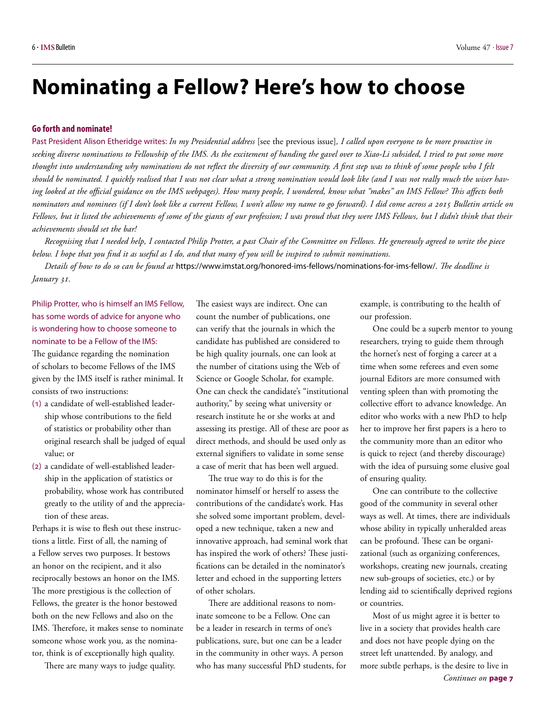## <span id="page-5-0"></span>**Nominating a Fellow? Here's how to choose**

#### **Go forth and nominate!**

Past President Alison Etheridge writes: *In my Presidential address* [\[see the previous issue\]](#page-4-0)*, I called upon everyone to be more proactive in seeking diverse nominations to Fellowship of the IMS. As the excitement of handing the gavel over to Xiao-Li subsided, I tried to put some more thought into understanding why nominations do not reflect the diversity of our community. A first step was to think of some people who I felt should be nominated. I quickly realised that I was not clear what a strong nomination would look like (and I was not really much the wiser having looked at the official guidance on the IMS webpages). How many people, I wondered, know what "makes" an IMS Fellow? This affects both nominators and nominees (if I don't look like a current Fellow, I won't allow my name to go forward). I did come across a 2015 Bulletin article on Fellows, but it listed the achievements of some of the giants of our profession; I was proud that they were IMS Fellows, but I didn't think that their achievements should set the bar!*

*Recognising that I needed help, I contacted Philip Protter, a past Chair of the Committee on Fellows. He generously agreed to write the piece below. I hope that you find it as useful as I do, and that many of you will be inspired to submit nominations.* 

*Details of how to do so can be found at* [https://www.imstat.org/honored-ims-fellows/nominations-for-ims-fellow/.](https://www.imstat.org/honored-ims-fellows/nominations-for-ims-fellow/) *The deadline is January 31.*

Philip Protter, who is himself an IMS Fellow, has some words of advice for anyone who is wondering how to choose someone to nominate to be a Fellow of the IMS: The guidance regarding the nomination of scholars to become Fellows of the IMS given by the IMS itself is rather minimal. It consists of two instructions:

- (1) a candidate of well-established leadership whose contributions to the field of statistics or probability other than original research shall be judged of equal value; or
- (2) a candidate of well-established leadership in the application of statistics or probability, whose work has contributed greatly to the utility of and the appreciation of these areas.

Perhaps it is wise to flesh out these instructions a little. First of all, the naming of a Fellow serves two purposes. It bestows an honor on the recipient, and it also reciprocally bestows an honor on the IMS. The more prestigious is the collection of Fellows, the greater is the honor bestowed both on the new Fellows and also on the IMS. Therefore, it makes sense to nominate someone whose work you, as the nominator, think is of exceptionally high quality.

There are many ways to judge quality.

The easiest ways are indirect. One can count the number of publications, one can verify that the journals in which the candidate has published are considered to be high quality journals, one can look at the number of citations using the Web of Science or Google Scholar, for example. One can check the candidate's "institutional authority," by seeing what university or research institute he or she works at and assessing its prestige. All of these are poor as direct methods, and should be used only as external signifiers to validate in some sense a case of merit that has been well argued.

The true way to do this is for the nominator himself or herself to assess the contributions of the candidate's work. Has she solved some important problem, developed a new technique, taken a new and innovative approach, had seminal work that has inspired the work of others? These justifications can be detailed in the nominator's letter and echoed in the supporting letters of other scholars.

There are additional reasons to nominate someone to be a Fellow. One can be a leader in research in terms of one's publications, sure, but one can be a leader in the community in other ways. A person who has many successful PhD students, for example, is contributing to the health of our profession.

One could be a superb mentor to young researchers, trying to guide them through the hornet's nest of forging a career at a time when some referees and even some journal Editors are more consumed with venting spleen than with promoting the collective effort to advance knowledge. An editor who works with a new PhD to help her to improve her first papers is a hero to the community more than an editor who is quick to reject (and thereby discourage) with the idea of pursuing some elusive goal of ensuring quality.

One can contribute to the collective good of the community in several other ways as well. At times, there are individuals whose ability in typically unheralded areas can be profound. These can be organizational (such as organizing conferences, workshops, creating new journals, creating new sub-groups of societies, etc.) or by lending aid to scientifically deprived regions or countries.

Most of us might agree it is better to live in a society that provides health care and does not have people dying on the street left unattended. By analogy, and more subtle perhaps, is the desire to live in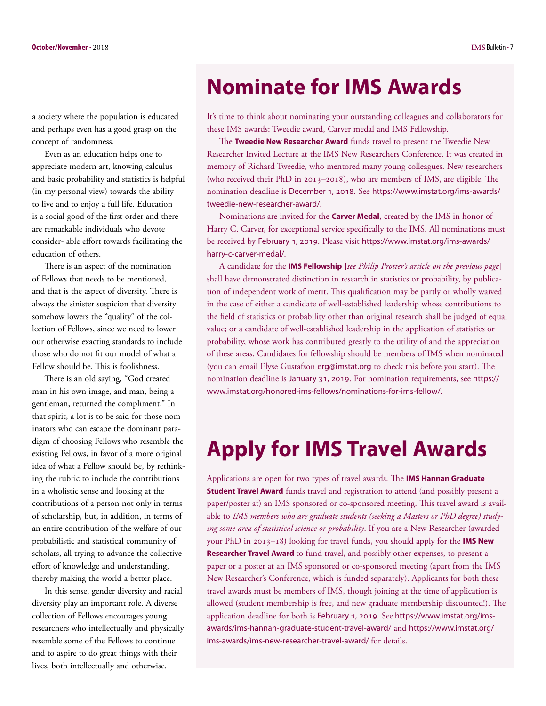<span id="page-6-0"></span>a society where the population is educated and perhaps even has a good grasp on the concept of randomness.

Even as an education helps one to appreciate modern art, knowing calculus and basic probability and statistics is helpful (in my personal view) towards the ability to live and to enjoy a full life. Education is a social good of the first order and there are remarkable individuals who devote consider- able effort towards facilitating the education of others.

There is an aspect of the nomination of Fellows that needs to be mentioned, and that is the aspect of diversity. There is always the sinister suspicion that diversity somehow lowers the "quality" of the collection of Fellows, since we need to lower our otherwise exacting standards to include those who do not fit our model of what a Fellow should be. This is foolishness.

There is an old saying, "God created man in his own image, and man, being a gentleman, returned the compliment." In that spirit, a lot is to be said for those nominators who can escape the dominant paradigm of choosing Fellows who resemble the existing Fellows, in favor of a more original idea of what a Fellow should be, by rethinking the rubric to include the contributions in a wholistic sense and looking at the contributions of a person not only in terms of scholarship, but, in addition, in terms of an entire contribution of the welfare of our probabilistic and statistical community of scholars, all trying to advance the collective effort of knowledge and understanding, thereby making the world a better place.

In this sense, gender diversity and racial diversity play an important role. A diverse collection of Fellows encourages young researchers who intellectually and physically resemble some of the Fellows to continue and to aspire to do great things with their lives, both intellectually and otherwise.

## **Nominate for IMS Awards**

It's time to think about nominating your outstanding colleagues and collaborators for these IMS awards: Tweedie award, Carver medal and IMS Fellowship.

The **Tweedie New Researcher Award** funds travel to present the Tweedie New Researcher Invited Lecture at the IMS New Researchers Conference. It was created in memory of Richard Tweedie, who mentored many young colleagues. New researchers (who received their PhD in 2013–2018), who are members of IMS, are eligible. The nomination deadline is December 1, 2018. See [https://www.imstat.org/ims-awards/](https://www.imstat.org/ims-awards/tweedie-new-researcher-award/.) [tweedie-new-researcher-award/.](https://www.imstat.org/ims-awards/tweedie-new-researcher-award/.)

Nominations are invited for the **Carver Medal**, created by the IMS in honor of Harry C. Carver, for exceptional service specifically to the IMS. All nominations must be received by February 1, 2019. Please visit [https://www.imstat.org/ims-awards/](https://www.imstat.org/ims-awards/harry-c-carver-medal/.) [harry-c-carver-medal/.](https://www.imstat.org/ims-awards/harry-c-carver-medal/.)

A candidate for the **IMS Fellowship** [*see Philip Protter's article on the previous page*] shall have demonstrated distinction in research in statistics or probability, by publication of independent work of merit. This qualification may be partly or wholly waived in the case of either a candidate of well-established leadership whose contributions to the field of statistics or probability other than original research shall be judged of equal value; or a candidate of well-established leadership in the application of statistics or probability, whose work has contributed greatly to the utility of and the appreciation of these areas. Candidates for fellowship should be members of IMS when nominated (you can email Elyse Gustafson [erg@imstat.org](mailto:erg@imstat.org) to check this before you start). The nomination deadline is January 31, 2019. For nomination requirements, see [https://](https://www.imstat.org/honored-ims-fellows/nominations-for-ims-fellow/.) [www.imstat.org/honored-ims-fellows/nominations-for-ims-fellow/.](https://www.imstat.org/honored-ims-fellows/nominations-for-ims-fellow/.)

## **Apply for IMS Travel Awards**

Applications are open for two types of travel awards. The **IMS Hannan Graduate Student Travel Award** funds travel and registration to attend (and possibly present a paper/poster at) an IMS sponsored or co-sponsored meeting. This travel award is available to *IMS members who are graduate students (seeking a Masters or PhD degree) studying some area of statistical science or probability*. If you are a New Researcher (awarded your PhD in 2013–18) looking for travel funds, you should apply for the **IMS New Researcher Travel Award** to fund travel, and possibly other expenses, to present a paper or a poster at an IMS sponsored or co-sponsored meeting (apart from the IMS New Researcher's Conference, which is funded separately). Applicants for both these travel awards must be members of IMS, though joining at the time of application is allowed (student membership is free, and new graduate membership discounted!). The application deadline for both is February 1, 2019. See [https://www.imstat.org/ims](https://www.imstat.org/ims-awards/ims-hannan-graduate-student-travel-award/)[awards/ims-hannan-graduate-student-travel-award/](https://www.imstat.org/ims-awards/ims-hannan-graduate-student-travel-award/) and [https://www.imstat.org/](https://www.imstat.org/ims-awards/ims-new-researcher-travel-award/) [ims-awards/ims-new-researcher-travel-award/](https://www.imstat.org/ims-awards/ims-new-researcher-travel-award/) for details.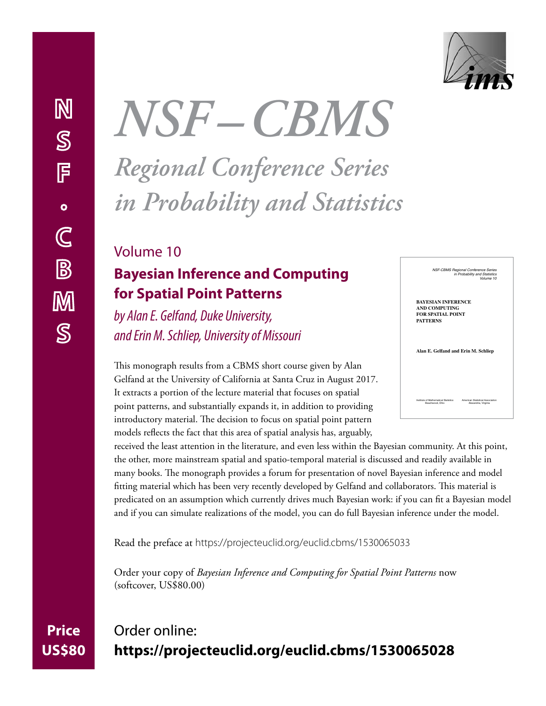

**Price** 

**US\$80**

# *NSF –CBMS Regional Conference Series in Probability and Statistics*

## Volume 10 **Bayesian Inference and Computing for Spatial Point Patterns**

*by Alan E. Gelfand, Duke University, and Erin M. Schliep, University of Missouri*

This monograph results from a CBMS short course given by Alan Gelfand at the University of California at Santa Cruz in August 2017. It extracts a portion of the lecture material that focuses on spatial point patterns, and substantially expands it, in addition to providing introductory material. The decision to focus on spatial point pattern models reflects the fact that this area of spatial analysis has, arguably,

*NSF-CBMS Regional Conference Series in Probability and Statistics Volume 10* **BAYESIAN INFERENCE AND COMPUTING FOR SPATIAL POINT PATTERNS Alan E. Gelfand and Erin M. Schliep**

*Institute of Mathematical Statistics American Statistical Association Beachwood, Ohio Alexandria, Virginia*

received the least attention in the literature, and even less within the Bayesian community. At this point, the other, more mainstream spatial and spatio-temporal material is discussed and readily available in many books. The monograph provides a forum for presentation of novel Bayesian inference and model fitting material which has been very recently developed by Gelfand and collaborators. This material is predicated on an assumption which currently drives much Bayesian work: if you can fit a Bayesian model and if you can simulate realizations of the model, you can do full Bayesian inference under the model.

Read the preface at <https://projecteuclid.org/euclid.cbms/1530065033>

Order your copy of *Bayesian Inference and Computing for Spatial Point Patterns* now (softcover, US\$80.00)

## Order online: **<https://projecteuclid.org/euclid.cbms/1530065028>**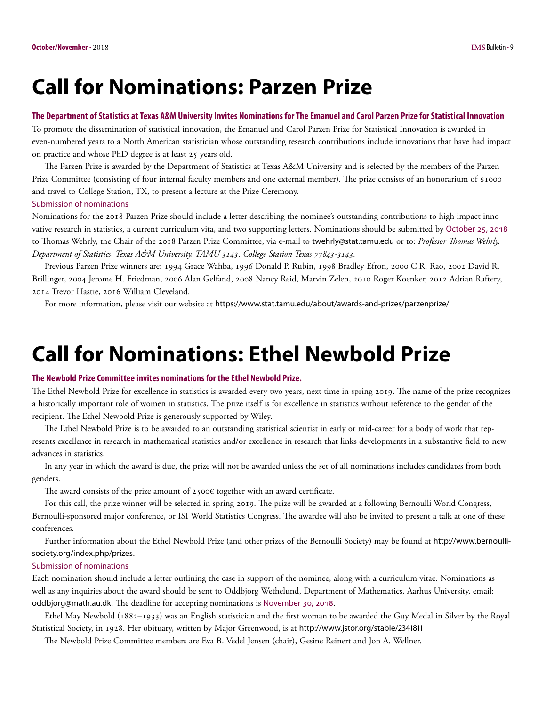## <span id="page-8-0"></span>**Call for Nominations: Parzen Prize**

#### **The Department of Statistics at Texas A&M University Invites Nominations for The Emanuel and Carol Parzen Prize for Statistical Innovation**

To promote the dissemination of statistical innovation, the Emanuel and Carol Parzen Prize for Statistical Innovation is awarded in even-numbered years to a North American statistician whose outstanding research contributions include innovations that have had impact on practice and whose PhD degree is at least 25 years old.

The Parzen Prize is awarded by the Department of Statistics at Texas A&M University and is selected by the members of the Parzen Prize Committee (consisting of four internal faculty members and one external member). The prize consists of an honorarium of \$1000 and travel to College Station, TX, to present a lecture at the Prize Ceremony. Submission of nominations

Nominations for the 2018 Parzen Prize should include a letter describing the nominee's outstanding contributions to high impact innovative research in statistics, a current curriculum vita, and two supporting letters. Nominations should be submitted by October 25, 2018 to Thomas Wehrly, the Chair of the 2018 Parzen Prize Committee, via e-mail to [twehrly@stat.tamu.edu](mailto:twehrly@stat.tamu.edu) or to: *Professor Thomas Wehrly, Department of Statistics, Texas A&M University, TAMU 3143, College Station Texas 77843-3143.*

Previous Parzen Prize winners are: 1994 Grace Wahba, 1996 Donald P. Rubin, 1998 Bradley Efron, 2000 C.R. Rao, 2002 David R. Brillinger, 2004 Jerome H. Friedman, 2006 Alan Gelfand, 2008 Nancy Reid, Marvin Zelen, 2010 Roger Koenker, 2012 Adrian Raftery, 2014 Trevor Hastie, 2016 William Cleveland.

For more information, please visit our website at <https://www.stat.tamu.edu/about/awards-and-prizes/parzenprize/>

## **Call for Nominations: Ethel Newbold Prize**

#### **The Newbold Prize Committee invites nominations for the Ethel Newbold Prize.**

The Ethel Newbold Prize for excellence in statistics is awarded every two years, next time in spring 2019. The name of the prize recognizes a historically important role of women in statistics. The prize itself is for excellence in statistics without reference to the gender of the recipient. The Ethel Newbold Prize is generously supported by Wiley.

The Ethel Newbold Prize is to be awarded to an outstanding statistical scientist in early or mid-career for a body of work that represents excellence in research in mathematical statistics and/or excellence in research that links developments in a substantive field to new advances in statistics.

In any year in which the award is due, the prize will not be awarded unless the set of all nominations includes candidates from both genders.

The award consists of the prize amount of  $2500 \in \text{together with an award certificate.}$ 

For this call, the prize winner will be selected in spring 2019. The prize will be awarded at a following Bernoulli World Congress, Bernoulli-sponsored major conference, or ISI World Statistics Congress. The awardee will also be invited to present a talk at one of these conferences.

Further information about the Ethel Newbold Prize (and other prizes of the Bernoulli Society) may be found at [http://www.bernoulli](http://www.bernoulli-society.org/index.php/prizes)[society.org/index.php/prizes](http://www.bernoulli-society.org/index.php/prizes).

#### Submission of nominations

Each nomination should include a letter outlining the case in support of the nominee, along with a curriculum vitae. Nominations as well as any inquiries about the award should be sent to Oddbjorg Wethelund, Department of Mathematics, Aarhus University, email: [oddbjorg@math.au.dk](mailto:oddbjorg@math.au.dk). The deadline for accepting nominations is November 30, 2018.

Ethel May Newbold (1882–1933) was an English statistician and the first woman to be awarded the Guy Medal in Silver by the Royal Statistical Society, in 1928. Her obituary, written by Major Greenwood, is at <http://www.jstor.org/stable/2341811>

The Newbold Prize Committee members are Eva B. Vedel Jensen (chair), Gesine Reinert and Jon A. Wellner.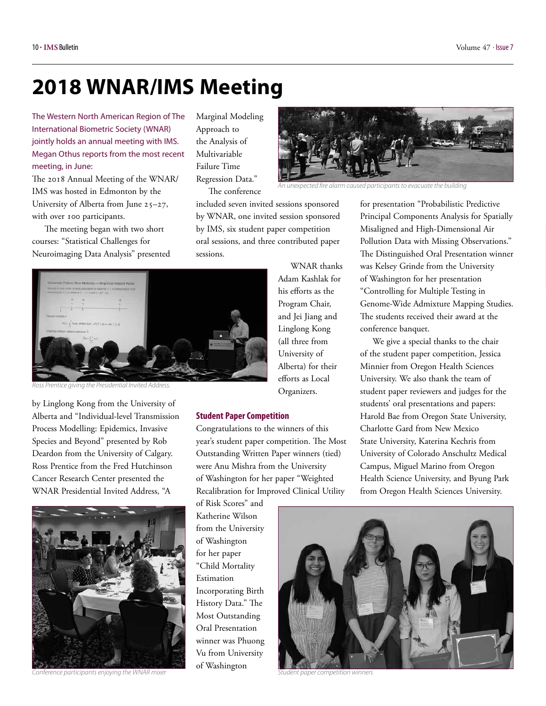## <span id="page-9-0"></span>**2018 WNAR/IMS Meeting**

The Western North American Region of The International Biometric Society (WNAR) jointly holds an annual meeting with IMS. Megan Othus reports from the most recent meeting, in June:

The 2018 Annual Meeting of the WNAR/ IMS was hosted in Edmonton by the University of Alberta from June 25–27, with over 100 participants.

The meeting began with two short courses: "Statistical Challenges for Neuroimaging Data Analysis" presented

Marginal Modeling Approach to the Analysis of Multivariable Failure Time Regression Data."

The conference

included seven invited sessions sponsored by WNAR, one invited session sponsored by IMS, six student paper competition oral sessions, and three contributed paper sessions.



*Ross Prentice giving the Presidential Invited Address.* 

by Linglong Kong from the University of Alberta and "Individual-level Transmission Process Modelling: Epidemics, Invasive Species and Beyond" presented by Rob Deardon from the University of Calgary. Ross Prentice from the Fred Hutchinson Cancer Research Center presented the WNAR Presidential Invited Address, "A



*Conference participants enjoying the WNAR mixer*

WNAR thanks Adam Kashlak for his efforts as the Program Chair, and Jei Jiang and Linglong Kong (all three from University of Alberta) for their efforts as Local Organizers.

#### **Student Paper Competition**

Congratulations to the winners of this year's student paper competition. The Most Outstanding Written Paper winners (tied) were Anu Mishra from the University of Washington for her paper "Weighted Recalibration for Improved Clinical Utility

of Risk Scores" and Katherine Wilson from the University of Washington for her paper "Child Mortality Estimation Incorporating Birth History Data." The Most Outstanding Oral Presentation winner was Phuong Vu from University of Washington



for presentation "Probabilistic Predictive Principal Components Analysis for Spatially Misaligned and High-Dimensional Air Pollution Data with Missing Observations." The Distinguished Oral Presentation winner was Kelsey Grinde from the University of Washington for her presentation "Controlling for Multiple Testing in Genome-Wide Admixture Mapping Studies. The students received their award at the *An unexpected fire alarm caused participants to evacuate the building*

conference banquet.

We give a special thanks to the chair of the student paper competition, Jessica Minnier from Oregon Health Sciences University. We also thank the team of student paper reviewers and judges for the students' oral presentations and papers: Harold Bae from Oregon State University, Charlotte Gard from New Mexico State University, Katerina Kechris from University of Colorado Anschultz Medical Campus, Miguel Marino from Oregon Health Science University, and Byung Park from Oregon Health Sciences University.



*Student paper competition winners*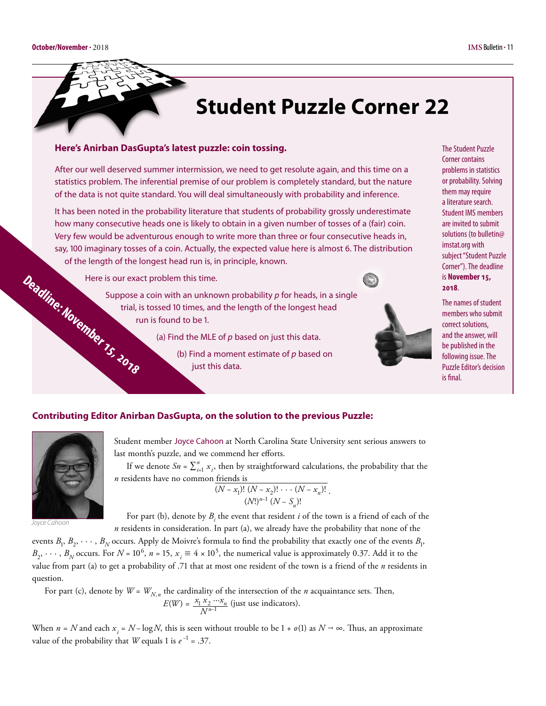<span id="page-10-0"></span>

## **Student Puzzle Corner 22**

#### **Here's Anirban DasGupta's latest puzzle: coin tossing.**

After our well deserved summer intermission, we need to get resolute again, and this time on a statistics problem. The inferential premise of our problem is completely standard, but the nature of the data is not quite standard. You will deal simultaneously with probability and inference.

It has been noted in the probability literature that students of probability grossly underestimate how many consecutive heads one is likely to obtain in a given number of tosses of a (fair) coin. Very few would be adventurous enough to write more than three or four consecutive heads in, say, 100 imaginary tosses of a coin. Actually, the expected value here is almost 6. The distribution of the length of the longest head run is, in principle, known.

trial, is tossed 10 times, and the length of the longest head

just this data.

(a) Find the MLE of *p* based on just this data.

(b) Find a moment estimate of *p* based on

Here is our exact problem this time.





The Student Puzzle Corner contains problems in statistics or probability. Solving them may require a literature search. Student IMS members are invited to submit solutions (to [bulletin@](mailto:bulletin@imstat.org) [imstat.org](mailto:bulletin@imstat.org) with subject "Student Puzzle Corner"). The deadline is **November 15, 2018**.

The names of student members who submit correct solutions, and the answer, will be published in the following issue. The Puzzle Editor's decision is final.

**Deadline: November 15, 2018**

run is found to be 1.

Suppose a coin with an unknown probability *p* for heads, in a single

### **Contributing Editor Anirban DasGupta, on the solution to the previous Puzzle:**



*Joyce Cahoon*

Student member Joyce Cahoon at North Carolina State University sent serious answers to last month's puzzle, and we commend her efforts.

If we denote  $Sn = \sum_{i=1}^{n} x_i$ , then by straightforward calculations, the probability that the *n* residents have no common friends is

$$
\frac{(N-x_1)!\ (N-x_2)!\cdots (N-x_n)!}{(N!)^{n-1} (N-S_n)!}.
$$

For part (b), denote by  $B_i$  the event that resident  $i$  of the town is a friend of each of the *n* residents in consideration. In part (a), we already have the probability that none of the

events  $B_1, B_2, \dots, B_N$  occurs. Apply de Moivre's formula to find the probability that exactly one of the events  $B_1$ ,  $B_2, \dots, B_N$  occurs. For  $N = 10^6$ ,  $n = 15$ ,  $x_i \equiv 4 \times 10^5$ , the numerical value is approximately 0.37. Add it to the value from part (a) to get a probability of .71 that at most one resident of the town is a friend of the *n* residents in question.

For part (c), denote by  $W = W_{N,n}$  the cardinality of the intersection of the *n* acquaintance sets. Then,  $E(W) = \frac{x_1 x_2 \cdots x_n}{N^{n-1}}$  (just use indicators).

When  $n = N$  and each  $x_i = N - \log N$ , this is seen without trouble to be  $1 + o(1)$  as  $N \to \infty$ . Thus, an approximate value of the probability that *W* equals 1 is  $e^{-1} = .37$ .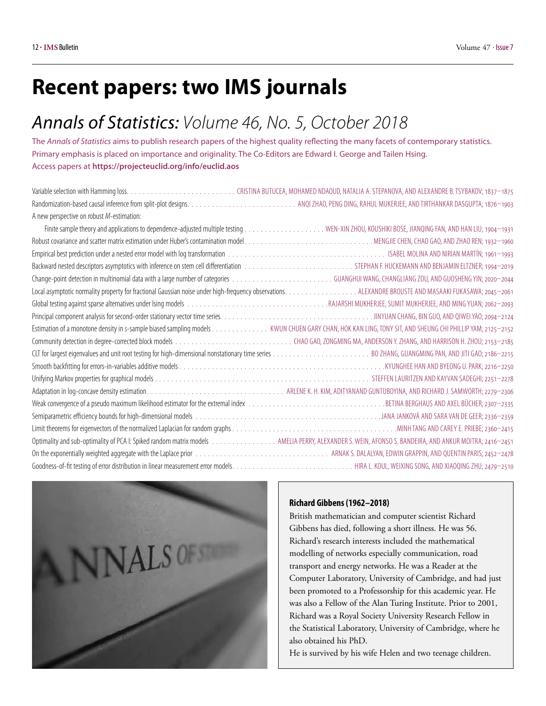## <span id="page-11-0"></span>**Recent papers: two IMS journals**

## *Annals of Statistics: Volume 46, No. 5, October 2018*

The *Annals of Statistics* aims to publish research papers of the highest quality reflecting the many facets of contemporary statistics. Primary emphasis is placed on importance and originality. The Co-Editors are Edward I. George and Tailen Hsing. Access papers at **<https://projecteuclid.org/info/euclid.aos>**

| A new perspective on robust M-estimation: |                                                                                                                                                      |
|-------------------------------------------|------------------------------------------------------------------------------------------------------------------------------------------------------|
|                                           |                                                                                                                                                      |
|                                           |                                                                                                                                                      |
|                                           |                                                                                                                                                      |
|                                           |                                                                                                                                                      |
|                                           |                                                                                                                                                      |
|                                           |                                                                                                                                                      |
|                                           |                                                                                                                                                      |
|                                           |                                                                                                                                                      |
|                                           |                                                                                                                                                      |
|                                           |                                                                                                                                                      |
|                                           |                                                                                                                                                      |
|                                           |                                                                                                                                                      |
|                                           |                                                                                                                                                      |
|                                           |                                                                                                                                                      |
|                                           |                                                                                                                                                      |
|                                           |                                                                                                                                                      |
|                                           |                                                                                                                                                      |
|                                           | Optimality and sub-optimality of PCA I: Spiked random matrix models AMELIA PERRY, ALEXANDER S. WEIN, AFONSO S. BANDEIRA, AND ANKUR MOITRA; 2416-2451 |
|                                           |                                                                                                                                                      |
|                                           |                                                                                                                                                      |
|                                           |                                                                                                                                                      |



#### **Richard Gibbens (1962–2018)**

British mathematician and computer scientist Richard Gibbens has died, following a short illness. He was 56. Richard's research interests included the mathematical modelling of networks especially communication, road transport and energy networks. He was a Reader at the Computer Laboratory, University of Cambridge, and had just been promoted to a Professorship for this academic year. He was also a Fellow of the Alan Turing Institute. Prior to 2001, Richard was a Royal Society University Research Fellow in the Statistical Laboratory, University of Cambridge, where he also obtained his PhD.

He is survived by his wife Helen and two teenage children.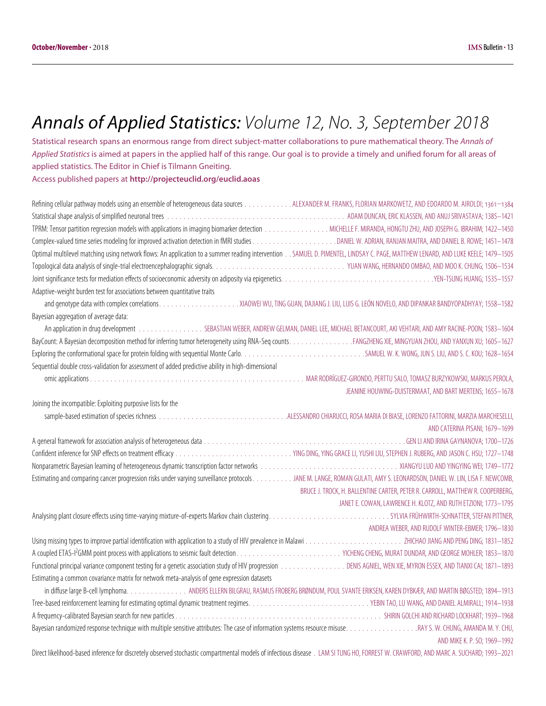## *Annals of Applied Statistics: Volume 12, No. 3, September 2018*

Statistical research spans an enormous range from direct subject-matter collaborations to pure mathematical theory. The *Annals of Applied Statistics* is aimed at papers in the applied half of this range. Our goal is to provide a timely and unified forum for all areas of applied statistics. The Editor in Chief is Tilmann Gneiting. Access published papers at **<http://projecteuclid.org/euclid.aoas>**

Refining cellular pathway models using an ensemble of heterogeneous data sources . . . . . . . . . . . . . . . ALEXANDER M. FRANKS, FLORIAN MARKOWETZ, AND EDOARDO M. AIROLDI; 1361-1384 Statistical shape analysis of simplified neuronal trees . .ADAM DUNCAN, ERIC KLASSEN, AND ANUJ SRIVASTAVA; 1385–1421 TPRM: Tensor partition regression models with applications in imaging biomarker detection . MICHELLE F. MIRANDA, HONGTU ZHU, AND JOSEPH G. IBRAHIM; 1422–1450 Complex-valued time series modeling for improved activation detection in fMRI studies . DANIEL W. ADRIAN, RANJAN MAITRA, AND DANIEL B. ROWE; 1451–1478 Optimal multilevel matching using network flows: An application to a summer reading intervention . SAMUEL D. PIMENTEL, LINDSAY C. PAGE, MATTHEW LENARD, AND LUKE KEELE; 1479–1505 Topological data analysis of single-trial electroencephalographic signals . . . . . . . . . . . . . . . . . . . . . . . . . . . . . . . . . YUAN WANG, HERNANDO OMBAO, AND MOO K. CHUNG; 1506–1534 Joint significance tests for mediation effects of socioeconomic adversity on adiposity via epigenetics . . . . . . . . . . . . . . . . . . . . . . . . . . . . . . . . . . . . . YEN-TSUNG HUANG; 1535–1557 Adaptive-weight burden test for associations between quantitative traits and genotype data with complex correlations . . . . . . . . . . . . . . . . . . . .XIAOWEI WU, TING GUAN, DAJIANG J. LIU, LUIS G. LEÓN NOVELO, AND DIPANKAR BANDYOPADHYAY; 1558–1582 Bayesian aggregation of average data: An application in drug development . . . . . . . . . . . . . . . . SEBASTIAN WEBER, ANDREW GELMAN, DANIEL LEE, MICHAEL BETANCOURT, AKI VEHTARI, AND AMY RACINE-POON; 1583-1604 BayCount: A Bayesian decomposition method for inferring tumor heterogeneity using RNA-Seq counts . . . . . . . . . . . . . . . FANGZHENG XIE, MINGYUAN ZHOU, AND YANXUN XU; 1605–1627 Exploring the conformational space for protein folding with sequential Monte Carlo . . . . . . . . . . . . . . . . . . . . . . . . . . . . . . SAMUEL W. K. WONG, JUN S. LIU, AND S. C. KOU; 1628–1654 Sequential double cross-validation for assessment of added predictive ability in high-dimensional omic applications . .MAR RODRÍGUEZ-GIRONDO, PERTTU SALO, TOMASZ BURZYKOWSKI, MARKUS PEROLA, JEANINE HOUWING-DUISTERMAAT, AND BART MERTENS; 1655–1678 Joining the incompatible: Exploiting purposive lists for the sample-based estimation of species richness . ALESSANDRO CHIARUCCI, ROSA MARIA DI BIASE, LORENZO FATTORINI, MARZIA MARCHESELLI, AND CATERINA PISANI; 1679–1699 A general framework for association analysis of heterogeneous data . GEN LI AND IRINA GAYNANOVA; 1700–1726 Confident inference for SNP effects on treatment efficacy . YING DING, YING GRACE LI, YUSHI LIU, STEPHEN J. RUBERG, AND JASON C. HSU; 1727–1748 Nonparametric Bayesian learning of heterogeneous dynamic transcription factor networks . .XIANGYU LUO AND YINGYING WEI; 1749–1772 Estimating and comparing cancer progression risks under varying surveillance protocols . . . . . . . . . . JANE M. LANGE, ROMAN GULATI, AMY S. LEONARDSON, DANIEL W. LIN, LISA F. NEWCOMB, BRUCE J. TROCK, H. BALLENTINE CARTER, PETER R. CARROLL, MATTHEW R. COOPERBERG, JANET E. COWAN, LAWRENCE H. KLOTZ, AND RUTH ETZIONI; 1773–1795 Analysing plant closure effects using time-varying mixture-of-experts Markov chain clustering . . . . . . . . . . . . . . . . . . . . . . . . . . . . . . SYLVIA FRÜHWIRTH-SCHNATTER, STEFAN PITTNER, ANDREA WEBER, AND RUDOLF WINTER-EBMER; 1796–1830 Using missing types to improve partial identification with application to a study of HIV prevalence in Malawi . .ZHICHAO JIANG AND PENG DING; 1831–1852 A coupled ETAS-I2 GMM point process with applications to seismic fault detection . . . . . . . . . . . . . . . . . . . . . . . . . . YICHENG CHENG, MURAT DUNDAR, AND GEORGE MOHLER; 1853–1870 Functional principal variance component testing for a genetic association study of HIV progression . .DENIS AGNIEL, WEN XIE, MYRON ESSEX, AND TIANXI CAI; 1871–1893 Estimating a common covariance matrix for network meta-analysis of gene expression datasets in diffuse large B-cell lymphoma. . . . . . . . . . . . . . . ANDERS ELLERN BILGRAU, RASMUS FROBERG BRØNDUM, POUL SVANTE ERIKSEN, KAREN DYBKÆR, AND MARTIN BØGSTED; 1894–1913 Tree-based reinforcement learning for estimating optimal dynamic treatment regimes . . . . . . . . . . . . . . . . . . . . . . . . . . . . . . YEBIN TAO, LU WANG, AND DANIEL ALMIRALL; 1914–1938 A frequency-calibrated Bayesian search for new particles . .SHIRIN GOLCHI AND RICHARD LOCKHART; 1939–1968 Bayesian randomized response technique with multiple sensitive attributes: The case of information systems resource misuse . . . . . . . . . . . . . . . . . RAY S. W. CHUNG, AMANDA M. Y. CHU, AND MIKE K. P. SO; 1969–1992 Direct likelihood-based inference for discretely observed stochastic compartmental models of infectious disease . .LAM SI TUNG HO, FORREST W. CRAWFORD, AND MARC A. SUCHARD; 1993–2021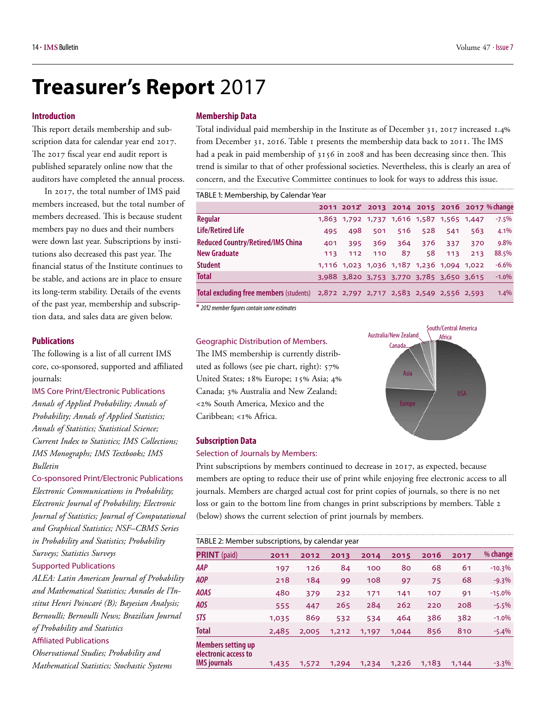## <span id="page-13-0"></span>**Treasurer's Report** 2017

#### **Introduction**

This report details membership and subscription data for calendar year end 2017. The 2017 fiscal year end audit report is published separately online now that the auditors have completed the annual process.

In 2017, the total number of IMS paid members increased, but the total number of members decreased. This is because student members pay no dues and their numbers were down last year. Subscriptions by institutions also decreased this past year. The financial status of the Institute continues to be stable, and actions are in place to ensure its long-term stability. Details of the events of the past year, membership and subscription data, and sales data are given below.

#### **Publications**

The following is a list of all current IMS core, co-sponsored, supported and affiliated journals:

IMS Core Print/Electronic Publications

*Annals of Applied Probability; Annals of Probability; Annals of Applied Statistics; Annals of Statistics; Statistical Science; Current Index to Statistics; IMS Collections; IMS Monographs; IMS Textbooks; IMS Bulletin*

Co-sponsored Print/Electronic Publications *Electronic Communications in Probability; Electronic Journal of Probability; Electronic Journal of Statistics; Journal of Computational and Graphical Statistics; NSF–CBMS Series in Probability and Statistics; Probability Surveys; Statistics Surveys*

Supported Publications

*ALEA: Latin American Journal of Probability and Mathematical Statistics; Annales de l'Institut Henri Poincaré (B); Bayesian Analysis; Bernoulli; Bernoulli News; Brazilian Journal of Probability and Statistics*

#### Affiliated Publications

*Observational Studies; Probability and Mathematical Statistics; Stochastic Systems*

#### **Membership Data**

Total individual paid membership in the Institute as of December 31, 2017 increased 1.4% from December 31, 2016. Table 1 presents the membership data back to 2011. The IMS had a peak in paid membership of 3156 in 2008 and has been decreasing since then. This trend is similar to that of other professional societies. Nevertheless, this is clearly an area of concern, and the Executive Committee continues to look for ways to address this issue.

TABLE 1: Membership, by Calendar Year

|                                                                                   |     |                                           |     |     |         |     |     | 2011 2012* 2013 2014 2015 2016 2017 % change |
|-----------------------------------------------------------------------------------|-----|-------------------------------------------|-----|-----|---------|-----|-----|----------------------------------------------|
| Regular                                                                           |     | 1,863 1,792 1,737 1,616 1,587 1,565 1,447 |     |     |         |     |     | $-7.5%$                                      |
| <b>Life/Retired Life</b>                                                          | 495 | 498                                       | 501 |     | 516 528 | 541 | 563 | 4.1%                                         |
| <b>Reduced Country/Retired/IMS China</b>                                          | 401 | 395                                       | 369 | 364 | 376     | 337 | 370 | 9.8%                                         |
| <b>New Graduate</b>                                                               | 113 | 112                                       | 110 | 87  | 58      | 113 | 213 | 88.5%                                        |
| <b>Student</b>                                                                    |     | 1,116 1,023 1,036 1,187 1,236 1,094 1,022 |     |     |         |     |     | $-6.6%$                                      |
| <b>Total</b>                                                                      |     | 3,988 3,820 3,753 3,770 3,785 3,650 3,615 |     |     |         |     |     | $-1.0\%$                                     |
| Total excluding free members (students) 2,872 2,797 2,717 2,583 2,549 2,556 2,593 |     |                                           |     |     |         |     |     | 1.4%                                         |

**\*** *2012 member figures contain some estimates*

#### Geographic Distribution of Members.

The IMS membership is currently distributed as follows (see pie chart, right): 57% United States; 18% Europe; 15% Asia; 4% Canada; 3% Australia and New Zealand; <2% South America, Mexico and the Caribbean; <1% Africa.



#### **Subscription Data**

#### Selection of Journals by Members:

Print subscriptions by members continued to decrease in 2017, as expected, because members are opting to reduce their use of print while enjoying free electronic access to all journals. Members are charged actual cost for print copies of journals, so there is no net loss or gain to the bottom line from changes in print subscriptions by members. Table 2 (below) shows the current selection of print journals by members.

| TABLE 2: Member subscriptions, by calendar year   |       |       |       |       |       |       |       |          |
|---------------------------------------------------|-------|-------|-------|-------|-------|-------|-------|----------|
| <b>PRINT</b> (paid)                               | 2011  | 2012  | 2013  | 2014  | 2015  | 2016  | 2017  | % change |
| AAP                                               | 197   | 126   | 84    | 100   | 80    | 68    | 61    | $-10.3%$ |
| AOP                                               | 218   | 184   | 99    | 108   | 97    | 75    | 68    | $-9.3%$  |
| <b>AOAS</b>                                       | 480   | 379   | 232   | 171   | 141   | 107   | 91    | $-15.0%$ |
| AOS                                               | 555   | 447   | 265   | 284   | 262   | 220   | 208   | $-5.5%$  |
| <b>STS</b>                                        | 1,035 | 869   | 532   | 534   | 464   | 386   | 382   | $-1.0%$  |
| <b>Total</b>                                      | 2,485 | 2,005 | 1,212 | 1,197 | 1,044 | 856   | 810   | $-5.4\%$ |
| <b>Members setting up</b><br>electronic access to |       |       |       |       |       |       |       |          |
| <b>IMS</b> journals                               | 1,435 | 1,572 | 1,294 | 1,234 | 1,226 | 1,183 | 1,144 | $-3.3\%$ |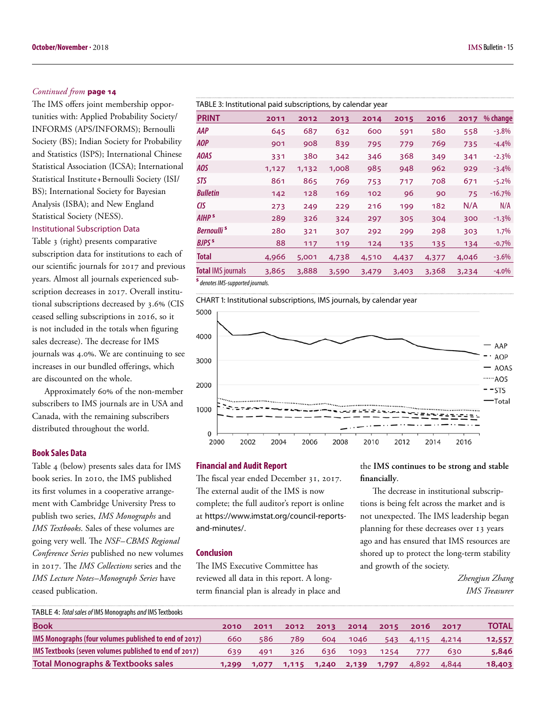#### *[Continued from](#page-13-0)* **page 14**

The IMS offers joint membership opportunities with: Applied Probability Society/ INFORMS (APS/INFORMS); Bernoulli Society (BS); Indian Society for Probability and Statistics (ISPS); International Chinese Statistical Association (ICSA); International Statistical Institute+Bernoulli Society (ISI/ BS); International Society for Bayesian Analysis (ISBA); and New England Statistical Society (NESS).

#### Institutional Subscription Data

Table 3 (right) presents comparative subscription data for institutions to each of our scientific journals for 2017 and previous years. Almost all journals experienced subscription decreases in 2017. Overall institutional subscriptions decreased by 3.6% (CIS ceased selling subscriptions in 2016, so it is not included in the totals when figuring sales decrease). The decrease for IMS journals was 4.0%. We are continuing to see increases in our bundled offerings, which are discounted on the whole.

Approximately 60% of the non-member subscribers to IMS journals are in USA and Canada, with the remaining subscribers distributed throughout the world.

#### **Book Sales Data**

Table 4 (below) presents sales data for IMS book series. In 2010, the IMS published its first volumes in a cooperative arrangement with Cambridge University Press to publish two series, *IMS Monographs* and *IMS Textbooks*. Sales of these volumes are going very well. The *NSF–CBMS Regional Conference Series* published no new volumes in 2017. The *IMS Collections* series and the *IMS Lecture Notes–Monograph Series* have ceased publication.

| TABLE 3: Institutional paid subscriptions, by calendar year |       |       |       |       |       |       |       |          |
|-------------------------------------------------------------|-------|-------|-------|-------|-------|-------|-------|----------|
| <b>PRINT</b>                                                | 2011  | 2012  | 2013  | 2014  | 2015  | 2016  | 2017  | % change |
| AAP                                                         | 645   | 687   | 632   | 600   | 591   | 580   | 558   | $-3.8%$  |
| AOP                                                         | 901   | 908   | 839   | 795   | 779   | 769   | 735   | $-4.4%$  |
| <b>AOAS</b>                                                 | 331   | 380   | 342   | 346   | 368   | 349   | 341   | $-2.3%$  |
| AOS                                                         | 1,127 | 1,132 | 1,008 | 985   | 948   | 962   | 929   | $-3.4%$  |
| STS                                                         | 861   | 865   | 769   | 753   | 717   | 708   | 671   | $-5.2\%$ |
| <b>Bulletin</b>                                             | 142   | 128   | 169   | 102   | 96    | 90    | 75    | $-16.7%$ |
| CIS                                                         | 273   | 249   | 229   | 216   | 199   | 182   | N/A   | N/A      |
| AIHP <sup>s</sup>                                           | 289   | 326   | 324   | 297   | 305   | 304   | 300   | $-1.3%$  |
| <b>Bernoulli<sup>s</sup></b>                                | 280   | 321   | 307   | 292   | 299   | 298   | 303   | 1.7%     |
| <b>BJPS</b> <sup>s</sup>                                    | 88    | 117   | 119   | 124   | 135   | 135   | 134   | $-0.7\%$ |
| <b>Total</b>                                                | 4,966 | 5,001 | 4,738 | 4,510 | 4,437 | 4,377 | 4,046 | $-3.6\%$ |
| <b>Total IMS journals</b>                                   | 3,865 | 3,888 | 3,590 | 3,479 | 3,403 | 3,368 | 3,234 | $-4.0\%$ |

**s**  *denotes IMS-supported journals.* 

CHART 1: Institutional subscriptions, IMS journals, by calendar year



#### **Financial and Audit Report**

The fiscal year ended December 31, 2017. The external audit of the IMS is now complete; the full auditor's report is online at [https://www.imstat.org/council-reports](https://www.imstat.org/council-reports-and-minutes/)[and-minutes/](https://www.imstat.org/council-reports-and-minutes/).

#### **Conclusion**

The IMS Executive Committee has reviewed all data in this report. A longterm financial plan is already in place and the **IMS continues to be strong and stable financially**.

The decrease in institutional subscriptions is being felt across the market and is not unexpected. The IMS leadership began planning for these decreases over 13 years ago and has ensured that IMS resources are shored up to protect the long-term stability and growth of the society.

> *Zhengjun Zhang IMS Treasurer*

| TABLE 4: Total sales of IMS Monographs and IMS Textbooks |       |       |       |       |       |       |       |       |              |
|----------------------------------------------------------|-------|-------|-------|-------|-------|-------|-------|-------|--------------|
| <b>Book</b>                                              | 2010  | 2011  | 2012  | 2013  | 2014  | 2015  | 2016  | 2017  | <b>TOTAL</b> |
| IMS Monographs (four volumes published to end of 2017)   | 660   | 586   | 789.  | 604   | 1046  | 543   | 4,115 | 4,214 | 12,557       |
| IMS Textbooks (seven volumes published to end of 2017)   | 639   | 491   | 326   | 636   | 1093  | 1254  |       | 630   | 5,846        |
| <b>Total Monographs &amp; Textbooks sales</b>            | 1,299 | 1,077 | 1,115 | 1,240 | 2,139 | 1,797 | 4,892 | 4,844 | 18,403       |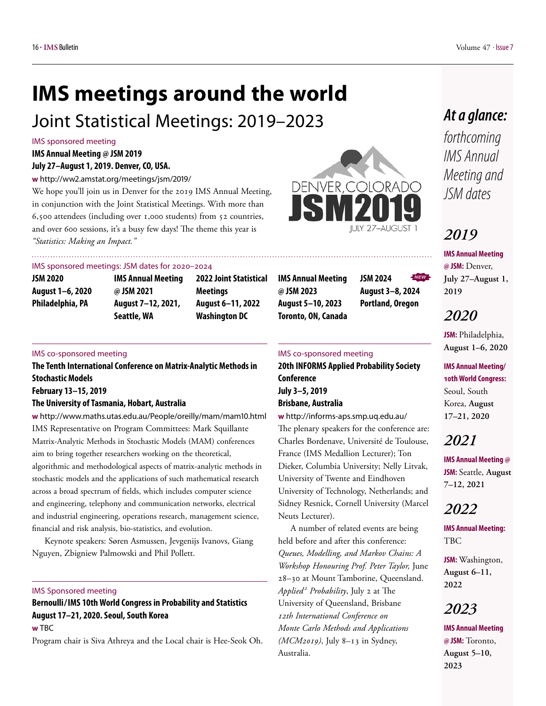## <span id="page-15-0"></span>**IMS meetings around the world**

## Joint Statistical Meetings: 2019–2023

#### IMS sponsored meeting

#### **IMS Annual Meeting @ JSM 2019 July 27–August 1, 2019. Denver, CO, USA.**

**w** [http://ww2.amstat.org/meetings/jsm/2019/](http://ww2.amstat.org/meetings/jsm/2018/)

We hope you'll join us in Denver for the 2019 IMS Annual Meeting, in conjunction with the Joint Statistical Meetings. With more than 6,500 attendees (including over 1,000 students) from 52 countries, and over 600 sessions, it's a busy few days! The theme this year is *"Statistics: Making an Impact."*



#### IMS sponsored meetings: JSM dates for 2020–2024

| JSM 2020         |  |
|------------------|--|
| August 1–6, 2020 |  |
| Philadelphia, PA |  |

**IMS Annual Meeting @ JSM 2021 August 7–12, 2021, Seattle, WA**

**2022 Joint Statistical Meetings August 6–11, 2022 Washington DC**

#### IMS co-sponsored meeting

**The Tenth International Conference on Matrix-Analytic Methods in Stochastic Models February 13–15, 2019**

#### **The University of Tasmania, Hobart, Australia**

**w** <http://www.maths.utas.edu.au/People/oreilly/mam/mam10.html> IMS Representative on Program Committees: Mark Squillante Matrix-Analytic Methods in Stochastic Models (MAM) conferences aim to bring together researchers working on the theoretical, algorithmic and methodological aspects of matrix-analytic methods in stochastic models and the applications of such mathematical research across a broad spectrum of fields, which includes computer science and engineering, telephony and communication networks, electrical and industrial engineering, operations research, management science, financial and risk analysis, bio-statistics, and evolution.

Keynote speakers: Søren Asmussen, Jevgenijs Ivanovs, Giang Nguyen, Zbigniew Palmowski and Phil Pollett.

#### IMS Sponsored meeting

#### **Bernoulli / IMS 10th World Congress in Probability and Statistics August 17–21, 2020. Seoul, South Korea w** TBC

Program chair is Siva Athreya and the Local chair is Hee-Seok Oh.

**IMS Annual Meeting @ JSM 2023**

**JSM 2024 August 3–8, 2024 Portland, Oregon** *NEW*

#### IMS co-sponsored meeting

**20th INFORMS Applied Probability Society Conference July 3–5, 2019 Brisbane, Australia**

**w** <http://informs-aps.smp.uq.edu.au/> The plenary speakers for the conference are: Charles Bordenave, Université de Toulouse, France (IMS Medallion Lecturer); Ton Dieker, Columbia University; Nelly Litvak, University of Twente and Eindhoven University of Technology, Netherlands; and Sidney Resnick, Cornell University (Marcel Neuts Lecturer).

A number of related events are being held before and after this conference: *Queues, Modelling, and Markov Chains: A Workshop Honouring Prof. Peter Taylor,* June 28–30 at Mount Tamborine, Queensland. *Applied <sup>2</sup> Probability*, July 2 at The University of Queensland, Brisbane *12th International Conference on Monte Carlo Methods and Applications (MCM2019)*, July 8–13 in Sydney, Australia.

## *At a glance:*

*forthcoming IMS Annual Meeting and JSM dates*

## *2019*

**IMS Annual Meeting @ JSM:** Denver, **July 27–August 1, 2019**

## *2020*

**JSM:** Philadelphia, **August 1–6, 2020**

**IMS Annual Meeting/ 10th World Congress:**  Seoul, South Korea, **August 17–21, 2020**

## *2021*

**IMS Annual Meeting @ JSM:** Seattle, **August 7–12, 2021**

## *2022*

**IMS Annual Meeting:**  TBC

**JSM:** Washington, **August 6–11, 2022**

## *2023*

**IMS Annual Meeting @ JSM:** Toronto, **August 5–10, 2023**

## **August 5–10, 2023 Toronto, ON, Canada**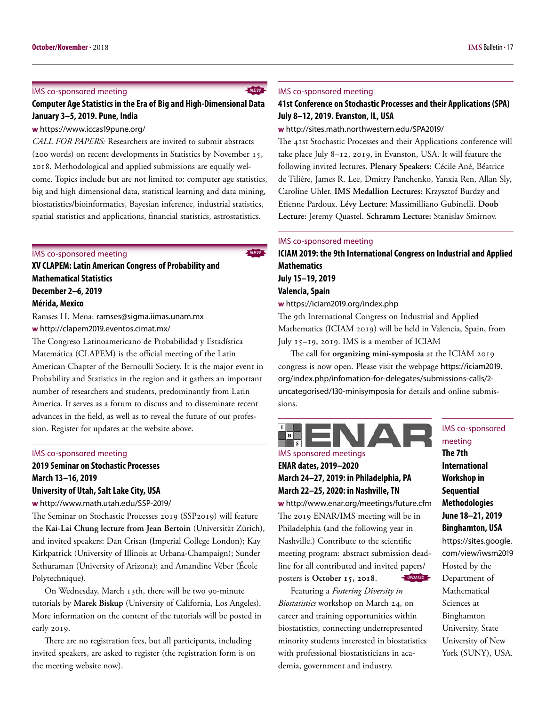#### IMS co-sponsored meeting

#### **Computer Age Statistics in the Era of Big and High-Dimensional Data January 3–5, 2019. Pune, India**

#### **w** <https://www.iccas19pune.org/>

*CALL FOR PAPERS:* Researchers are invited to submit abstracts (200 words) on recent developments in Statistics by November 15, 2018. Methodological and applied submissions are equally welcome. Topics include but are not limited to: computer age statistics, big and high dimensional data, statistical learning and data mining, biostatistics/bioinformatics, Bayesian inference, industrial statistics, spatial statistics and applications, financial statistics, astrostatistics.

#### IMS co-sponsored meeting

**XV CLAPEM: Latin American Congress of Probability and Mathematical Statistics December 2–6, 2019**

#### **Mérida, Mexico**

Ramses H. Mena: [ramses@sigma.iimas.unam.mx](mailto:ramses@sigma.iimas.unam.mx) **w** <http://clapem2019.eventos.cimat.mx/>

The Congreso Latinoamericano de Probabilidad y Estadística Matemática (CLAPEM) is the official meeting of the Latin American Chapter of the Bernoulli Society. It is the major event in Probability and Statistics in the region and it gathers an important number of researchers and students, predominantly from Latin America. It serves as a forum to discuss and to disseminate recent advances in the field, as well as to reveal the future of our profession. Register for updates at the website above.

#### IMS co-sponsored meeting

### **2019 Seminar on Stochastic Processes March 13–16, 2019**

#### **University of Utah, Salt Lake City, USA**

**w** <http://www.math.utah.edu/SSP-2019/>

The Seminar on Stochastic Processes 2019 (SSP2019) will feature the **Kai-Lai Chung lecture from Jean Bertoin** (Universität Zürich), and invited speakers: Dan Crisan (Imperial College London); Kay Kirkpatrick (University of Illinois at Urbana-Champaign); Sunder Sethuraman (University of Arizona); and Amandine Véber (École Polytechnique).

On Wednesday, March 13th, there will be two 90-minute tutorials by **Marek Biskup** (University of California, Los Angeles). More information on the content of the tutorials will be posted in early 2019.

There are no registration fees, but all participants, including invited speakers, are asked to register (the registration form is on the meeting website now).

#### IMS co-sponsored meeting

*NEW*

*NEW*

#### **41st Conference on Stochastic Processes and their Applications (SPA) July 8–12, 2019. Evanston, IL, USA**

**w** <http://sites.math.northwestern.edu/SPA2019/>

The 41st Stochastic Processes and their Applications conference will take place July 8–12, 2019, in Evanston, USA. It will feature the following invited lectures. **Plenary Speakers:** Cécile Ané, Béatrice de Tilière, James R. Lee, Dmitry Panchenko, Yanxia Ren, Allan Sly, Caroline Uhler. **IMS Medallion Lectures:** Krzysztof Burdzy and Etienne Pardoux. **Lévy Lecture:** Massimilliano Gubinelli. **Doob Lecture:** Jeremy Quastel. **Schramm Lecture:** Stanislav Smirnov.

#### IMS co-sponsored meeting

**ICIAM 2019: the 9th International Congress on Industrial and Applied Mathematics July 15–19, 2019 Valencia, Spain**

**w** <https://iciam2019.org/index.php>

The 9th International Congress on Industrial and Applied Mathematics (ICIAM 2019) will be held in Valencia, Spain, from July 15–19, 2019. IMS is a member of ICIAM

The call for **organizing mini-symposia** at the ICIAM 2019 congress is now open. Please visit the webpage [https://iciam2019.](https://iciam2019.org/index.php/infomation-for-delegates/submissions-calls/2-uncategorised/130-minisymposia) [org/index.php/infomation-for-delegates/submissions-calls/2](https://iciam2019.org/index.php/infomation-for-delegates/submissions-calls/2-uncategorised/130-minisymposia) [uncategorised/130-minisymposia](https://iciam2019.org/index.php/infomation-for-delegates/submissions-calls/2-uncategorised/130-minisymposia) for details and online submissions.

#### $I<sup>2</sup>$ A E  $\blacksquare$

IMS sponsored meetings **ENAR dates, 2019–2020 March 24–27, 2019: in Philadelphia, PA**

## **March 22–25, 2020: in Nashville, TN**

**w** <http://www.enar.org/meetings/future.cfm> The 2019 ENAR/IMS meeting will be in Philadelphia (and the following year in Nashville.) Contribute to the scientific meeting program: abstract submission deadline for all contributed and invited papers/ posters is **October 15, 2018**. *UPDATED*

Featuring a *Fostering Diversity in Biostatistics* workshop on March 24, on career and training opportunities within biostatistics, connecting underrepresented minority students interested in biostatistics with professional biostatisticians in academia, government and industry.

IMS co-sponsored meeting **The 7th International Workshop in Sequential Methodologies June 18–21, 2019 Binghamton, USA** [https://sites.google.](https://sites.google.com/view/iwsm2019) [com/view/iwsm2019](https://sites.google.com/view/iwsm2019) Hosted by the Department of Mathematical Sciences at Binghamton University, State University of New

York (SUNY), USA.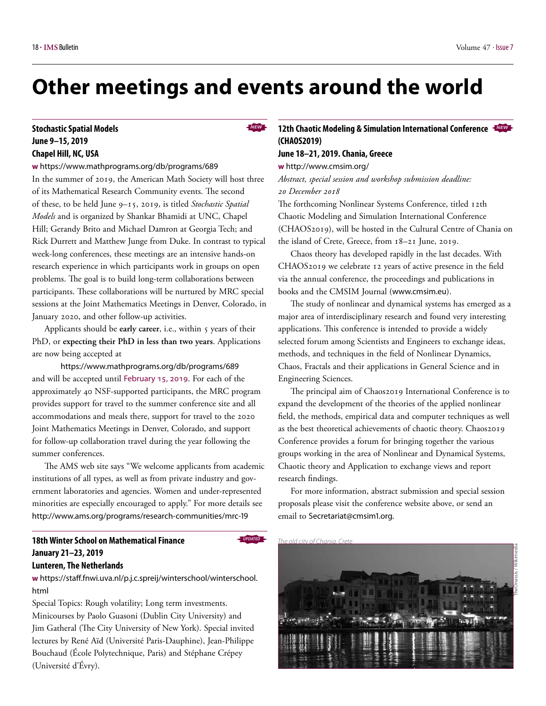## **Other meetings and events around the world**

## **June 9–15, 2019 Chapel Hill, NC, USA**

#### **w** <https://www.mathprograms.org/db/programs/689>

In the summer of 2019, the American Math Society will host three of its Mathematical Research Community events. The second of these, to be held June 9–15, 2019, is titled *Stochastic Spatial Models* and is organized by Shankar Bhamidi at UNC, Chapel Hill; Gerandy Brito and Michael Damron at Georgia Tech; and Rick Durrett and Matthew Junge from Duke. In contrast to typical week-long conferences, these meetings are an intensive hands-on research experience in which participants work in groups on open problems. The goal is to build long-term collaborations between participants. These collaborations will be nurtured by MRC special sessions at the Joint Mathematics Meetings in Denver, Colorado, in January 2020, and other follow-up activities.

Applicants should be early career, i.e., within 5 years of their PhD, or **expecting their PhD in less than two years**. Applications are now being accepted at

<https://www.mathprograms.org/db/programs/689> and will be accepted until February 15, 2019. For each of the approximately 40 NSF-supported participants, the MRC program provides support for travel to the summer conference site and all accommodations and meals there, support for travel to the 2020 Joint Mathematics Meetings in Denver, Colorado, and support for follow-up collaboration travel during the year following the summer conferences.

The AMS web site says "We welcome applicants from academic institutions of all types, as well as from private industry and government laboratories and agencies. Women and under-represented minorities are especially encouraged to apply." For more details see <http://www.ams.org/programs/research-communities/mrc-19>

### **18th Winter School on Mathematical Finance January 21–23, 2019**

#### **Lunteren, The Netherlands**

**w** [https://staff.fnwi.uva.nl/p.j.c.spreij/winterschool/winterschool.](https://staff.fnwi.uva.nl/p.j.c.spreij/winterschool/winterschool.html) [html](https://staff.fnwi.uva.nl/p.j.c.spreij/winterschool/winterschool.html)

Special Topics: Rough volatility; Long term investments. Minicourses by Paolo Guasoni (Dublin City University) and Jim Gatheral (The City University of New York). Special invited lectures by René Aïd (Université Paris-Dauphine), Jean-Philippe Bouchaud (École Polytechnique, Paris) and Stéphane Crépey (Université d'Évry).

#### *NEW NEW* **Stochastic Spatial Models 12th Chaotic Modeling & Simulation International Conference (CHAOS2019)**

#### **June 18–21, 2019. Chania, Greece**

**w** <http://www.cmsim.org/>

*Abstract, special session and workshop submission deadline: 20 December 2018*

The forthcoming Nonlinear Systems Conference, titled 12th Chaotic Modeling and Simulation International Conference (CHAOS2019), will be hosted in the Cultural Centre of Chania on the island of Crete, Greece, from 18–21 June, 2019.

Chaos theory has developed rapidly in the last decades. With CHAOS2019 we celebrate 12 years of active presence in the field via the annual conference, the proceedings and publications in books and the CMSIM Journal ([www.cmsim.eu](http://www.cmsim.eu)).

The study of nonlinear and dynamical systems has emerged as a major area of interdisciplinary research and found very interesting applications. This conference is intended to provide a widely selected forum among Scientists and Engineers to exchange ideas, methods, and techniques in the field of Nonlinear Dynamics, Chaos, Fractals and their applications in General Science and in Engineering Sciences.

The principal aim of Chaos2019 International Conference is to expand the development of the theories of the applied nonlinear field, the methods, empirical data and computer techniques as well as the best theoretical achievements of chaotic theory. Chaos2019 Conference provides a forum for bringing together the various groups working in the area of Nonlinear and Dynamical Systems, Chaotic theory and Application to exchange views and report research findings.

For more information, abstract submission and special session proposals please visit the conference website above, or send an email to [Secretariat@cmsim1.org.](mailto:Secretariat@cmsim1.org)

*UPDATED The old city of Chania, Crete*

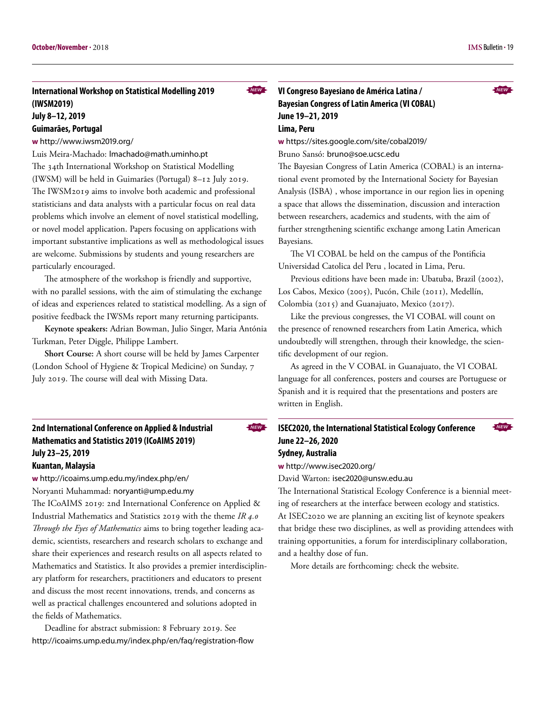#### **International Workshop on Statistical Modelling 2019 (IWSM2019) July 8–12, 2019**

#### **Guimarães, Portugal**

#### **w** <http://www.iwsm2019.org/>

Luis Meira-Machado: [lmachado@math.uminho.pt](mailto:lmachado@math.uminho.pt) The 34th International Workshop on Statistical Modelling (IWSM) will be held in Guimarães (Portugal) 8–12 July 2019. The IWSM2019 aims to involve both academic and professional statisticians and data analysts with a particular focus on real data problems which involve an element of novel statistical modelling, or novel model application. Papers focusing on applications with important substantive implications as well as methodological issues are welcome. Submissions by students and young researchers are particularly encouraged.

The atmosphere of the workshop is friendly and supportive, with no parallel sessions, with the aim of stimulating the exchange of ideas and experiences related to statistical modelling. As a sign of positive feedback the IWSMs report many returning participants.

**Keynote speakers:** Adrian Bowman, Julio Singer, Maria Antónia Turkman, Peter Diggle, Philippe Lambert.

**Short Course:** A short course will be held by James Carpenter (London School of Hygiene & Tropical Medicine) on Sunday, 7 July 2019. The course will deal with Missing Data.

**w** <http://icoaims.ump.edu.my/index.php/en/>

Noryanti Muhammad: [noryanti@ump.edu.my](mailto:noryanti@ump.edu.my)

The ICoAIMS 2019: 2nd International Conference on Applied & Industrial Mathematics and Statistics 2019 with the theme *IR 4.0 Through the Eyes of Mathematics* aims to bring together leading academic, scientists, researchers and research scholars to exchange and share their experiences and research results on all aspects related to Mathematics and Statistics. It also provides a premier interdisciplinary platform for researchers, practitioners and educators to present and discuss the most recent innovations, trends, and concerns as well as practical challenges encountered and solutions adopted in the fields of Mathematics.

Deadline for abstract submission: 8 February 2019. See <http://icoaims.ump.edu.my/index.php/en/faq/registration-flow> **w** <https://sites.google.com/site/cobal2019/>

Bruno Sansó: [bruno@soe.ucsc.edu](mailto:bruno@soe.ucsc.edu)

The Bayesian Congress of Latin America (COBAL) is an international event promoted by the International Society for Bayesian Analysis (ISBA) , whose importance in our region lies in opening a space that allows the dissemination, discussion and interaction between researchers, academics and students, with the aim of further strengthening scientific exchange among Latin American Bayesians.

The VI COBAL be held on the campus of the Pontificia Universidad Catolica del Peru , located in Lima, Peru.

Previous editions have been made in: Ubatuba, Brazil (2002), Los Cabos, Mexico (2005), Pucón, Chile (2011), Medellín, Colombia (2015) and Guanajuato, Mexico (2017).

Like the previous congresses, the VI COBAL will count on the presence of renowned researchers from Latin America, which undoubtedly will strengthen, through their knowledge, the scientific development of our region.

As agreed in the V COBAL in Guanajuato, the VI COBAL language for all conferences, posters and courses are Portuguese or Spanish and it is required that the presentations and posters are written in English.

#### **ISEC2020, the International Statistical Ecology Conference June 22–26, 2020 Sydney, Australia**

**w** <http://www.isec2020.org/>

*NEW*

David Warton: [isec2020@unsw.edu.au](mailto:isec2020@unsw.edu.au)

The International Statistical Ecology Conference is a biennial meeting of researchers at the interface between ecology and statistics. At ISEC2020 we are planning an exciting list of keynote speakers that bridge these two disciplines, as well as providing attendees with training opportunities, a forum for interdisciplinary collaboration, and a healthy dose of fun.

More details are forthcoming: check the website.



*NEW*

**<sup>2</sup>nd International Conference on Applied & Industrial Mathematics and Statistics 2019 (ICoAIMS 2019) July 23–25, 2019 Kuantan, Malaysia**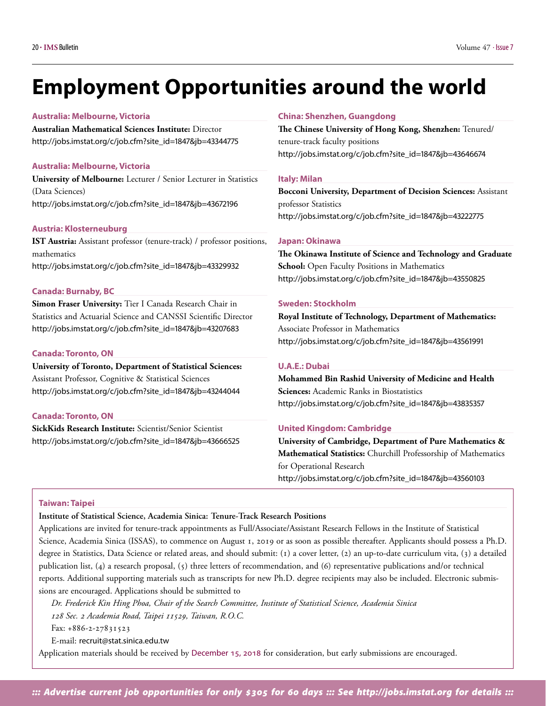## <span id="page-19-0"></span>**Employment Opportunities around the world**

#### **Australia: Melbourne, Victoria**

**Australian Mathematical Sciences Institute:** Director [http://jobs.imstat.org/c/job.cfm?site\\_id=1847&jb=43344775](http://jobs.imstat.org/c/job.cfm?site_id=1847&jb=43344775)

#### **Australia: Melbourne, Victoria**

**University of Melbourne:** Lecturer / Senior Lecturer in Statistics (Data Sciences) [http://jobs.imstat.org/c/job.cfm?site\\_id=1847&jb=43672196](http://jobs.imstat.org/c/job.cfm?site_id=1847&jb=43672196)

#### **Austria: Klosterneuburg**

**IST Austria:** Assistant professor (tenure-track) / professor positions, mathematics [http://jobs.imstat.org/c/job.cfm?site\\_id=1847&jb=43329932](http://jobs.imstat.org/c/job.cfm?site_id=1847&jb=43329932)

#### **Canada: Burnaby, BC**

**Simon Fraser University:** Tier I Canada Research Chair in Statistics and Actuarial Science and CANSSI Scientific Director [http://jobs.imstat.org/c/job.cfm?site\\_id=1847&jb=43207683](http://jobs.imstat.org/c/job.cfm?site_id=1847&jb=43207683)

#### **Canada: Toronto, ON**

**University of Toronto, Department of Statistical Sciences:**  Assistant Professor, Cognitive & Statistical Sciences [http://jobs.imstat.org/c/job.cfm?site\\_id=1847&jb=43244044](http://jobs.imstat.org/c/job.cfm?site_id=1847&jb=43244044)

#### **Canada: Toronto, ON**

**SickKids Research Institute:** Scientist/Senior Scientist [http://jobs.imstat.org/c/job.cfm?site\\_id=1847&jb=43666525](http://jobs.imstat.org/c/job.cfm?site_id=1847&jb=43666525)

#### **China: Shenzhen, Guangdong**

**The Chinese University of Hong Kong, Shenzhen:** Tenured/ tenure-track faculty positions [http://jobs.imstat.org/c/job.cfm?site\\_id=1847&jb=43646674](http://jobs.imstat.org/c/job.cfm?site_id=1847&jb=43646674)

#### **Italy: Milan**

**Bocconi University, Department of Decision Sciences:** Assistant professor Statistics [http://jobs.imstat.org/c/job.cfm?site\\_id=1847&jb=43222775](http://jobs.imstat.org/c/job.cfm?site_id=1847&jb=43222775)

#### **Japan: Okinawa**

**The Okinawa Institute of Science and Technology and Graduate School:** Open Faculty Positions in Mathematics [http://jobs.imstat.org/c/job.cfm?site\\_id=1847&jb=43550825](http://jobs.imstat.org/c/job.cfm?site_id=1847&jb=43550825)

#### **Sweden: Stockholm**

**Royal Institute of Technology, Department of Mathematics:**  Associate Professor in Mathematics [http://jobs.imstat.org/c/job.cfm?site\\_id=1847&jb=43561991](http://jobs.imstat.org/c/job.cfm?site_id=1847&jb=43561991)

#### **U.A.E.: Dubai**

**Mohammed Bin Rashid University of Medicine and Health Sciences:** Academic Ranks in Biostatistics [http://jobs.imstat.org/c/job.cfm?site\\_id=1847&jb=43835357](http://jobs.imstat.org/c/job.cfm?site_id=1847&jb=43835357)

#### **United Kingdom: Cambridge**

**University of Cambridge, Department of Pure Mathematics & Mathematical Statistics:** Churchill Professorship of Mathematics for Operational Research [http://jobs.imstat.org/c/job.cfm?site\\_id=1847&jb=43560103](http://jobs.imstat.org/c/job.cfm?site_id=1847&jb=43560103)

#### **Taiwan: Taipei**

**Institute of Statistical Science, Academia Sinica: Tenure-Track Research Positions**

Applications are invited for tenure-track appointments as Full/Associate/Assistant Research Fellows in the Institute of Statistical Science, Academia Sinica (ISSAS), to commence on August 1, 2019 or as soon as possible thereafter. Applicants should possess a Ph.D. degree in Statistics, Data Science or related areas, and should submit: (1) a cover letter, (2) an up-to-date curriculum vita, (3) a detailed publication list, (4) a research proposal, (5) three letters of recommendation, and (6) representative publications and/or technical reports. Additional supporting materials such as transcripts for new Ph.D. degree recipients may also be included. Electronic submissions are encouraged. Applications should be submitted to

*Dr. Frederick Kin Hing Phoa, Chair of the Search Committee, Institute of Statistical Science, Academia Sinica 128 Sec. 2 Academia Road, Taipei 11529, Taiwan, R.O.C.*

Fax: +886-2-27831523

E-mail: [recruit@stat.sinica.edu.tw](mailto:recruit@stat.sinica.edu.tw)

Application materials should be received by December 15, 2018 for consideration, but early submissions are encouraged.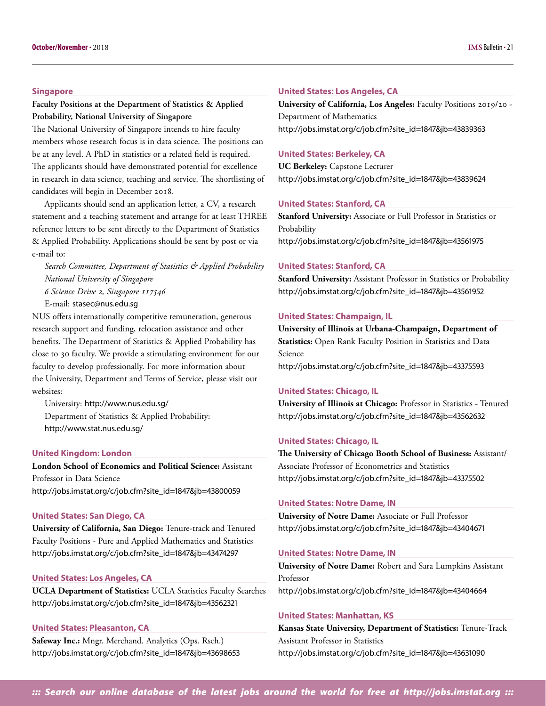#### **Singapore**

#### **Faculty Positions at the Department of Statistics & Applied Probability, National University of Singapore**

The National University of Singapore intends to hire faculty members whose research focus is in data science. The positions can be at any level. A PhD in statistics or a related field is required. The applicants should have demonstrated potential for excellence in research in data science, teaching and service. The shortlisting of candidates will begin in December 2018.

Applicants should send an application letter, a CV, a research statement and a teaching statement and arrange for at least THREE reference letters to be sent directly to the Department of Statistics & Applied Probability. Applications should be sent by post or via e-mail to:

*Search Committee, Department of Statistics & Applied Probability National University of Singapore*

*6 Science Drive 2, Singapore 117546*

E-mail: [stasec@nus.edu.sg](mailto:stasec@nus.edu.sg)

NUS offers internationally competitive remuneration, generous research support and funding, relocation assistance and other benefits. The Department of Statistics & Applied Probability has close to 30 faculty. We provide a stimulating environment for our faculty to develop professionally. For more information about the University, Department and Terms of Service, please visit our websites:

University: <http://www.nus.edu.sg/> Department of Statistics & Applied Probability: <http://www.stat.nus.edu.sg/>

#### **United Kingdom: London**

**London School of Economics and Political Science:** Assistant Professor in Data Science [http://jobs.imstat.org/c/job.cfm?site\\_id=1847&jb=43800059](http://jobs.imstat.org/c/job.cfm?site_id=1847&jb=43800059)

#### **United States: San Diego, CA**

**University of California, San Diego:** Tenure-track and Tenured Faculty Positions - Pure and Applied Mathematics and Statistics [http://jobs.imstat.org/c/job.cfm?site\\_id=1847&jb=43474297](http://jobs.imstat.org/c/job.cfm?site_id=1847&jb=43474297)

#### **United States: Los Angeles, CA**

**UCLA Department of Statistics:** UCLA Statistics Faculty Searches [http://jobs.imstat.org/c/job.cfm?site\\_id=1847&jb=43562321](http://jobs.imstat.org/c/job.cfm?site_id=1847&jb=43562321)

#### **United States: Pleasanton, CA**

**Safeway Inc.:** Mngr. Merchand. Analytics (Ops. Rsch.) [http://jobs.imstat.org/c/job.cfm?site\\_id=1847&jb=43698653](http://jobs.imstat.org/c/job.cfm?site_id=1847&jb=43698653)

#### **United States: Los Angeles, CA**

**University of California, Los Angeles:** Faculty Positions 2019/20 - Department of Mathematics [http://jobs.imstat.org/c/job.cfm?site\\_id=1847&jb=43839363](http://jobs.imstat.org/c/job.cfm?site_id=1847&jb=43839363)

#### **United States: Berkeley, CA**

**UC Berkeley:** Capstone Lecturer [http://jobs.imstat.org/c/job.cfm?site\\_id=1847&jb=43839624](http://jobs.imstat.org/c/job.cfm?site_id=1847&jb=43839624)

#### **United States: Stanford, CA**

**Stanford University:** Associate or Full Professor in Statistics or Probability [http://jobs.imstat.org/c/job.cfm?site\\_id=1847&jb=43561975](http://jobs.imstat.org/c/job.cfm?site_id=1847&jb=43561975)

#### **United States: Stanford, CA**

**Stanford University:** Assistant Professor in Statistics or Probability [http://jobs.imstat.org/c/job.cfm?site\\_id=1847&jb=43561952](http://jobs.imstat.org/c/job.cfm?site_id=1847&jb=43561952)

#### **United States: Champaign, IL**

**University of Illinois at Urbana-Champaign, Department of Statistics:** Open Rank Faculty Position in Statistics and Data Science [http://jobs.imstat.org/c/job.cfm?site\\_id=1847&jb=43375593](http://jobs.imstat.org/c/job.cfm?site_id=1847&jb=43375593)

#### **United States: Chicago, IL**

**University of Illinois at Chicago:** Professor in Statistics - Tenured [http://jobs.imstat.org/c/job.cfm?site\\_id=1847&jb=43562632](http://jobs.imstat.org/c/job.cfm?site_id=1847&jb=43562632)

#### **United States: Chicago, IL**

**The University of Chicago Booth School of Business:** Assistant/ Associate Professor of Econometrics and Statistics [http://jobs.imstat.org/c/job.cfm?site\\_id=1847&jb=43375502](http://jobs.imstat.org/c/job.cfm?site_id=1847&jb=43375502)

#### **United States: Notre Dame, IN**

**University of Notre Dame:** Associate or Full Professor [http://jobs.imstat.org/c/job.cfm?site\\_id=1847&jb=43404671](http://jobs.imstat.org/c/job.cfm?site_id=1847&jb=43404671)

#### **United States: Notre Dame, IN**

**University of Notre Dame:** Robert and Sara Lumpkins Assistant Professor [http://jobs.imstat.org/c/job.cfm?site\\_id=1847&jb=43404664](http://jobs.imstat.org/c/job.cfm?site_id=1847&jb=43404664)

#### **United States: Manhattan, KS**

**Kansas State University, Department of Statistics:** Tenure-Track Assistant Professor in Statistics [http://jobs.imstat.org/c/job.cfm?site\\_id=1847&jb=43631090](http://jobs.imstat.org/c/job.cfm?site_id=1847&jb=43631090)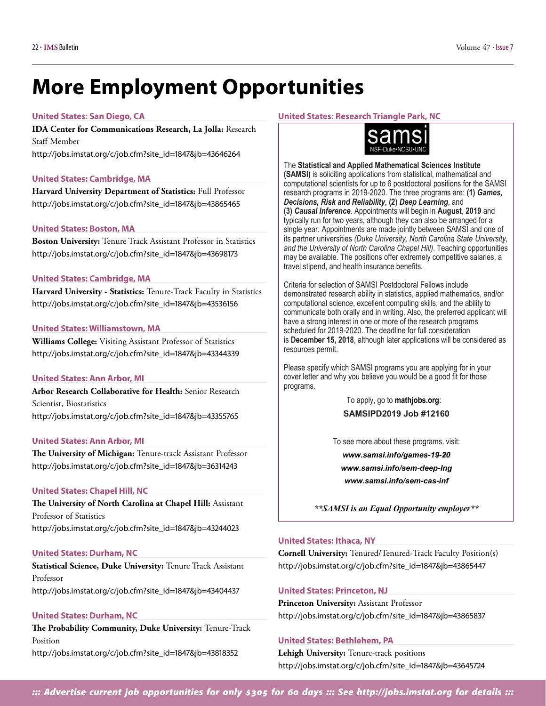## **More Employment Opportunities**

#### **United States: San Diego, CA**

**IDA Center for Communications Research, La Jolla:** Research Staff Member [http://jobs.imstat.org/c/job.cfm?site\\_id=1847&jb=43646264](http://jobs.imstat.org/c/job.cfm?site_id=1847&jb=43646264)

#### **United States: Cambridge, MA**

**Harvard University Department of Statistics:** Full Professor [http://jobs.imstat.org/c/job.cfm?site\\_id=1847&jb=43865465](http://jobs.imstat.org/c/job.cfm?site_id=1847&jb=43865465)

#### **United States: Boston, MA**

**Boston University:** Tenure Track Assistant Professor in Statistics [http://jobs.imstat.org/c/job.cfm?site\\_id=1847&jb=43698173](http://jobs.imstat.org/c/job.cfm?site_id=1847&jb=43698173)

#### **United States: Cambridge, MA**

**Harvard University - Statistics:** Tenure-Track Faculty in Statistics [http://jobs.imstat.org/c/job.cfm?site\\_id=1847&jb=43536156](http://jobs.imstat.org/c/job.cfm?site_id=1847&jb=43536156)

#### **United States: Williamstown, MA**

**Williams College:** Visiting Assistant Professor of Statistics [http://jobs.imstat.org/c/job.cfm?site\\_id=1847&jb=43344339](http://jobs.imstat.org/c/job.cfm?site_id=1847&jb=43344339)

#### **United States: Ann Arbor, MI**

**Arbor Research Collaborative for Health:** Senior Research Scientist, Biostatistics [http://jobs.imstat.org/c/job.cfm?site\\_id=1847&jb=43355765](http://jobs.imstat.org/c/job.cfm?site_id=1847&jb=43355765)

#### **United States: Ann Arbor, MI**

**The University of Michigan:** Tenure-track Assistant Professor [http://jobs.imstat.org/c/job.cfm?site\\_id=1847&jb=36314243](http://jobs.imstat.org/c/job.cfm?site_id=1847&jb=36314243)

#### **United States: Chapel Hill, NC**

**The University of North Carolina at Chapel Hill:** Assistant Professor of Statistics [http://jobs.imstat.org/c/job.cfm?site\\_id=1847&jb=43244023](http://jobs.imstat.org/c/job.cfm?site_id=1847&jb=43244023)

#### **United States: Durham, NC**

**Statistical Science, Duke University:** Tenure Track Assistant Professor [http://jobs.imstat.org/c/job.cfm?site\\_id=1847&jb=43404437](http://jobs.imstat.org/c/job.cfm?site_id=1847&jb=43404437)

#### **United States: Durham, NC**

**The Probability Community, Duke University:** Tenure-Track Position [http://jobs.imstat.org/c/job.cfm?site\\_id=1847&jb=43818352](http://jobs.imstat.org/c/job.cfm?site_id=1847&jb=43818352)

#### **United States: Research Triangle Park, NC**



The **Statistical and Applied Mathematical Sciences Institute (SAMSI)** is soliciting applications from statistical, mathematical and computational scientists for up to 6 postdoctoral positions for the SAMSI research programs in 2019-2020. The three programs are: **(1)** *Games, Decisions, Risk and Reliability*, **(2)** *Deep Learning*, and **(3)** *Causal Inference*. Appointments will begin in **August**, **2019** and typically run for two years, although they can also be arranged for a single year. Appointments are made jointly between SAMSI and one of its partner universities *(Duke University, North Carolina State University, and the University of North Carolina Chapel Hill)*. Teaching opportunities may be available. The positions offer extremely competitive salaries, a travel stipend, and health insurance benefits.

Criteria for selection of SAMSI Postdoctoral Fellows include demonstrated research ability in statistics, applied mathematics, and/or computational science, excellent computing skills, and the ability to communicate both orally and in writing. Also, the preferred applicant will have a strong interest in one or more of the research programs scheduled for 2019-2020. The deadline for full consideration is **December 15, 2018**, although later applications will be considered as resources permit.

Please specify which SAMSI programs you are applying for in your cover letter and why you believe you would be a good fit for those programs.

> To apply, go to **mathjobs.org**: **SAMSIPD2019 Job #12160**

To see more about these programs, visit:

*[www.samsi.info/games-19-20](http://www.samsi.info/games-19-20)  [www.samsi.info/sem-deep-lng](http://www.samsi.info/sem-deep-lng)  [www.samsi.info/sem-cas-inf](http://www.samsi.info/sem-cas-inf)* 

*\*\*SAMSI is an Equal Opportunity employer\*\**

#### **United States: Ithaca, NY**

**Cornell University:** Tenured/Tenured-Track Faculty Position(s) [http://jobs.imstat.org/c/job.cfm?site\\_id=1847&jb=43865447](http://jobs.imstat.org/c/job.cfm?site_id=1847&jb=43865447)

#### **United States: Princeton, NJ**

**Princeton University:** Assistant Professor [http://jobs.imstat.org/c/job.cfm?site\\_id=1847&jb=43865837](http://jobs.imstat.org/c/job.cfm?site_id=1847&jb=43865837)

#### **United States: Bethlehem, PA**

**Lehigh University:** Tenure-track positions [http://jobs.imstat.org/c/job.cfm?site\\_id=1847&jb=43645724](http://jobs.imstat.org/c/job.cfm?site_id=1847&jb=43645724)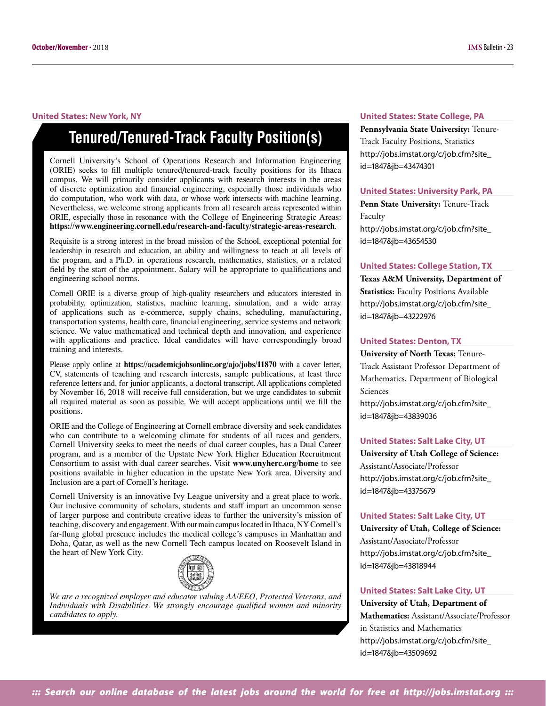#### **United States: New York, NY**

## **Tenured/Tenured-Track Faculty Position(s)**

Cornell University's School of Operations Research and Information Engineering (ORIE) seeks to fill multiple tenured/tenured-track faculty positions for its Ithaca campus. We will primarily consider applicants with research interests in the areas of discrete optimization and financial engineering, especially those individuals who do computation, who work with data, or whose work intersects with machine learning. Nevertheless, we welcome strong applicants from all research areas represented within ORIE, especially those in resonance with the College of Engineering Strategic Areas: **<https://www.engineering.cornell.edu/research-and-faculty/strategic-areas-research>**.

Requisite is a strong interest in the broad mission of the School, exceptional potential for leadership in research and education, an ability and willingness to teach at all levels of the program, and a Ph.D. in operations research, mathematics, statistics, or a related field by the start of the appointment. Salary will be appropriate to qualifications and engineering school norms.

Cornell ORIE is a diverse group of high-quality researchers and educators interested in probability, optimization, statistics, machine learning, simulation, and a wide array of applications such as e-commerce, supply chains, scheduling, manufacturing, transportation systems, health care, financial engineering, service systems and network science. We value mathematical and technical depth and innovation, and experience with applications and practice. Ideal candidates will have correspondingly broad training and interests.

Please apply online at **<https://academicjobsonline.org/ajo/jobs/11870>** with a cover letter, CV, statements of teaching and research interests, sample publications, at least three reference letters and, for junior applicants, a doctoral transcript. All applications completed by November 16, 2018 will receive full consideration, but we urge candidates to submit all required material as soon as possible. We will accept applications until we fill the positions.

ORIE and the College of Engineering at Cornell embrace diversity and seek candidates who can contribute to a welcoming climate for students of all races and genders. Cornell University seeks to meet the needs of dual career couples, has a Dual Career program, and is a member of the Upstate New York Higher Education Recruitment Consortium to assist with dual career searches. Visit **[www.unyherc.org/home](http://www.unyherc.org/home)** to see positions available in higher education in the upstate New York area. Diversity and Inclusion are a part of Cornell's heritage.

Cornell University is an innovative Ivy League university and a great place to work. Our inclusive community of scholars, students and staff impart an uncommon sense of larger purpose and contribute creative ideas to further the university's mission of teaching, discovery and engagement. With our main campus located in Ithaca, NY Cornell's far-flung global presence includes the medical college's campuses in Manhattan and Doha, Qatar, as well as the new Cornell Tech campus located on Roosevelt Island in the heart of New York City.



*We are a recognized employer and educator valuing AA/EEO, Protected Veterans, and Individuals with Disabilities. We strongly encourage qualified women and minority candidates to apply.*

#### **United States: State College, PA**

**Pennsylvania State University:** Tenure-Track Faculty Positions, Statistics [http://jobs.imstat.org/c/job.cfm?site\\_](http://jobs.imstat.org/c/job.cfm?site_id=1847&jb=43474301) id=1847&jb=43474301

#### **United States: University Park, PA**

**Penn State University:** Tenure-Track Faculty [http://jobs.imstat.org/c/job.cfm?site\\_](http://jobs.imstat.org/c/job.cfm?site_id=1847&jb=43654530) id=1847&jb=43654530

#### **United States: College Station, TX**

**Texas A&M University, Department of Statistics:** Faculty Positions Available [http://jobs.imstat.org/c/job.cfm?site\\_](http://jobs.imstat.org/c/job.cfm?site_id=1847&jb=43222976) id=1847&jb=43222976

#### **United States: Denton, TX**

**University of North Texas:** Tenure-Track Assistant Professor Department of Mathematics, Department of Biological Sciences [http://jobs.imstat.org/c/job.cfm?site\\_](http://jobs.imstat.org/c/job.cfm?site_id=1847&jb=43839036) id=1847&jb=43839036

#### **United States: Salt Lake City, UT**

**University of Utah College of Science:**  Assistant/Associate/Professor [http://jobs.imstat.org/c/job.cfm?site\\_](http://jobs.imstat.org/c/job.cfm?site_id=1847&jb=43375679) id=1847&jb=43375679

#### **United States: Salt Lake City, UT**

**University of Utah, College of Science:**  Assistant/Associate/Professor [http://jobs.imstat.org/c/job.cfm?site\\_](http://jobs.imstat.org/c/job.cfm?site_id=1847&jb=43818944) id=1847&jb=43818944

#### **United States: Salt Lake City, UT**

**University of Utah, Department of Mathematics:** Assistant/Associate/Professor in Statistics and Mathematics [http://jobs.imstat.org/c/job.cfm?site\\_](http://jobs.imstat.org/c/job.cfm?site_id=1847&jb=43509692) id=1847&jb=43509692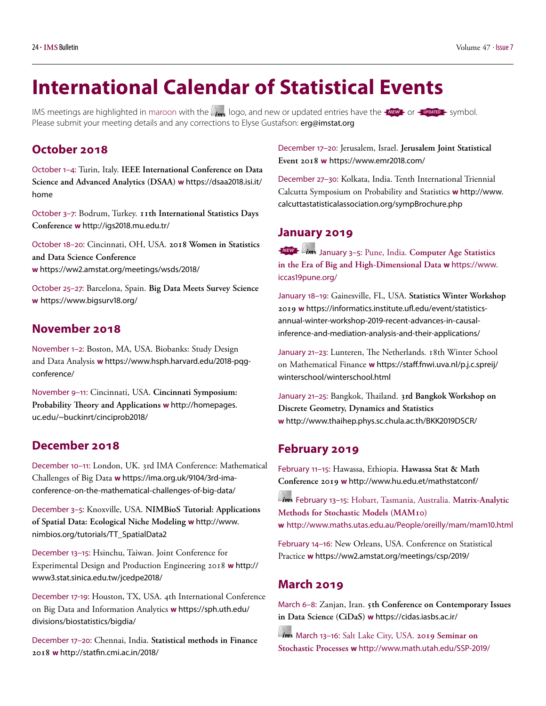## <span id="page-23-0"></span>**International Calendar of Statistical Events**

IMS meetings are highlighted in maroon with the  $\ell_{\text{rms}}$  logo, and new or updated entries have the  $\frac{1}{\ell}$  or  $\frac{1}{\ell}$  symbol. Please submit your meeting details and any corrections to Elyse Gustafson: [erg@imstat.org](mailto:erg@imstat.org)

### **October 2018**

October 1–4: Turin, Italy. **IEEE International Conference on Data Science and Advanced Analytics (DSAA) w** [https://dsaa2018.isi.it/](https://dsaa2018.isi.it/home) [home](https://dsaa2018.isi.it/home)

October 3–7: Bodrum, Turkey. **11th International Statistics Days Conference w** <http://igs2018.mu.edu.tr/>

October 18–20: Cincinnati, OH, USA. **2018 Women in Statistics and Data Science Conference w** <https://ww2.amstat.org/meetings/wsds/2018/>

October 25–27: Barcelona, Spain. **Big Data Meets Survey Science w** <https://www.bigsurv18.org/>

### **November 2018**

November 1–2: Boston, MA, USA. Biobanks: Study Design and Data Analysis **w** [https://www.hsph.harvard.edu/2018-pqg](https://www.hsph.harvard.edu/2018-pqg-conference/)[conference/](https://www.hsph.harvard.edu/2018-pqg-conference/)

November 9–11: Cincinnati, USA. **Cincinnati Symposium: Probability Theory and Applications w** [http://homepages.](http://homepages.uc.edu/~buckinrt/cinciprob2018/) [uc.edu/~buckinrt/cinciprob2018/](http://homepages.uc.edu/~buckinrt/cinciprob2018/)

### **December 2018**

December 10–11: London, UK. 3rd IMA Conference: Mathematical Challenges of Big Data **w** [https://ima.org.uk/9104/3rd-ima](https://ima.org.uk/9104/3rd-ima-conference-on-the-mathematical-challenges-of-big-data/)[conference-on-the-mathematical-challenges-of-big-data/](https://ima.org.uk/9104/3rd-ima-conference-on-the-mathematical-challenges-of-big-data/)

December 3–5: Knoxville, USA. **NIMBioS Tutorial: Applications of Spatial Data: Ecological Niche Modeling w** [http://www.](http://www.nimbios.org/tutorials/TT_SpatialData2) [nimbios.org/tutorials/TT\\_SpatialData2](http://www.nimbios.org/tutorials/TT_SpatialData2)

December 13–15: Hsinchu, Taiwan. Joint Conference for Experimental Design and Production Engineering 2018 **w** [http://](http://www3.stat.sinica.edu.tw/jcedpe2018/) [www3.stat.sinica.edu.tw/jcedpe2018/](http://www3.stat.sinica.edu.tw/jcedpe2018/)

December 17-19: Houston, TX, USA. 4th International Conference on Big Data and Information Analytics **w** [https://sph.uth.edu/](https://sph.uth.edu/divisions/biostatistics/bigdia/) [divisions/biostatistics/bigdia/](https://sph.uth.edu/divisions/biostatistics/bigdia/)

December 17–20: Chennai, India. **Statistical methods in Finance 2018 w** <http://statfin.cmi.ac.in/2018/>

December 17–20: Jerusalem, Israel. **Jerusalem Joint Statistical Event 2018 w** <https://www.emr2018.com/>

December 27–30: Kolkata, India. Tenth International Triennial Calcutta Symposium on Probability and Statistics **w** [http://www.](http://www.calcuttastatisticalassociation.org/sympBrochure.php) [calcuttastatisticalassociation.org/sympBrochure.php](http://www.calcuttastatisticalassociation.org/sympBrochure.php)

### **January 2019**

*NEW* January 3–5: Pune, India. **Computer Age Statistics in the Era of Big and High-Dimensional Data w** [https://www.](https://www.iccas19pune.org) [iccas19pune.org/](https://www.iccas19pune.org)

January 18–19: Gainesville, FL, USA. **Statistics Winter Workshop 2019 w** [https://informatics.institute.ufl.edu/event/statistics](https://informatics.institute.ufl.edu/event/statistics-annual-winter-workshop-2019-recent-advances-in-causal-inference-and-mediation-analysis-and-their-applications/)[annual-winter-workshop-2019-recent-advances-in-causal](https://informatics.institute.ufl.edu/event/statistics-annual-winter-workshop-2019-recent-advances-in-causal-inference-and-mediation-analysis-and-their-applications/)[inference-and-mediation-analysis-and-their-applications/](https://informatics.institute.ufl.edu/event/statistics-annual-winter-workshop-2019-recent-advances-in-causal-inference-and-mediation-analysis-and-their-applications/)

January 21–23: Lunteren, The Netherlands. 18th Winter School on Mathematical Finance **w** [https://staff.fnwi.uva.nl/p.j.c.spreij/](https://staff.fnwi.uva.nl/p.j.c.spreij/winterschool/winterschool.html) [winterschool/winterschool.html](https://staff.fnwi.uva.nl/p.j.c.spreij/winterschool/winterschool.html)

January 21–25: Bangkok, Thailand. **3rd Bangkok Workshop on Discrete Geometry, Dynamics and Statistics w** <http://www.thaihep.phys.sc.chula.ac.th/BKK2019DSCR/>

#### **February 2019**

February 11–15: Hawassa, Ethiopia. **Hawassa Stat & Math Conference 2019 w** <http://www.hu.edu.et/mathstatconf/>

 February 13–15: Hobart, Tasmania, Australia. **Matrix-Analytic Methods for Stochastic Models (MAM10) w** <http://www.maths.utas.edu.au/People/oreilly/mam/mam10.html>

February 14–16: New Orleans, USA. Conference on Statistical Practice **w** <https://ww2.amstat.org/meetings/csp/2019/>

### **March 2019**

March 6–8: Zanjan, Iran. **5th Conference on Contemporary Issues in Data Science (CiDaS) w** <https://cidas.iasbs.ac.ir/>

 March 13–16: Salt Lake City, USA. **2019 Seminar on Stochastic Processes w** <http://www.math.utah.edu/SSP-2019/>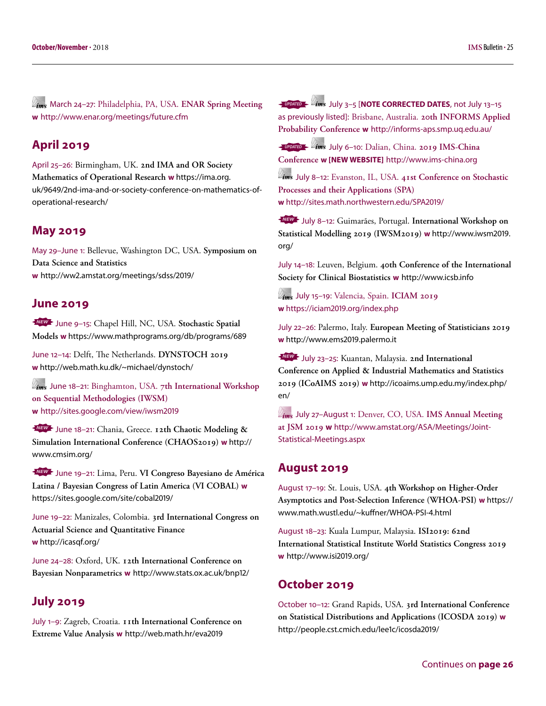March 24–27: Philadelphia, PA, USA. **ENAR Spring Meeting w** <http://www.enar.org/meetings/future.cfm>

### **April 2019**

April 25–26: Birmingham, UK. **2nd IMA and OR Society Mathematics of Operational Research w** [https://ima.org.](https://ima.org.uk/9649/2nd-ima-and-or-society-conference-on-mathematics-of-operational-research/) [uk/9649/2nd-ima-and-or-society-conference-on-mathematics-of](https://ima.org.uk/9649/2nd-ima-and-or-society-conference-on-mathematics-of-operational-research/)[operational-research/](https://ima.org.uk/9649/2nd-ima-and-or-society-conference-on-mathematics-of-operational-research/)

#### **May 2019**

May 29–June 1: Bellevue, Washington DC, USA. **Symposium on Data Science and Statistics w** <http://ww2.amstat.org/meetings/sdss/2019/>

#### **June 2019**

*NEW* June 9–15: Chapel Hill, NC, USA. **Stochastic Spatial Models w** <https://www.mathprograms.org/db/programs/689>

June 12–14: Delft, The Netherlands. **DYNSTOCH 2019 w** <http://web.math.ku.dk/~michael/dynstoch/>

 June 18–21: Binghamton, USA. **7th International Workshop on Sequential Methodologies (IWSM) w** <http://sites.google.com/view/iwsm2019>

*NEW* June 18–21: Chania, Greece. **12th Chaotic Modeling & Simulation International Conference (CHAOS2019) w** [http://](http://www.cmsim.org/) [www.cmsim.org/](http://www.cmsim.org/)

*NEW* June 19–21: Lima, Peru. **VI Congreso Bayesiano de América Latina / Bayesian Congress of Latin America (VI COBAL) w**  <https://sites.google.com/site/cobal2019/>

June 19–22: Manizales, Colombia. **3rd International Congress on Actuarial Science and Quantitative Finance w** <http://icasqf.org/>

June 24–28: Oxford, UK. **12th International Conference on Bayesian Nonparametrics w** <http://www.stats.ox.ac.uk/bnp12/>

#### **July 2019**

July 1–9: Zagreb, Croatia. **11th International Conference on Extreme Value Analysis w** <http://web.math.hr/eva2019>

*UPDATED* July 3–5 [**NOTE CORRECTED DATES**, not July 13–15 as previously listed]: Brisbane, Australia. **20th INFORMS Applied Probability Conference w** <http://informs-aps.smp.uq.edu.au/>

*UPDATED* July 6–10: Dalian, China. **2019 IMS-China Conference w [NEW WEBSITE]** <http://www.ims-china.org>

 July 8–12: Evanston, IL, USA. **41st Conference on Stochastic Processes and their Applications (SPA) w** <http://sites.math.northwestern.edu/SPA2019/>

*NEW* July 8–12: Guimarães, Portugal. **International Workshop on Statistical Modelling 2019 (IWSM2019) w** [http://www.iwsm2019.](http://www.iwsm2019.org) org/

July 14–18: Leuven, Belgium. **40th Conference of the International Society for Clinical Biostatistics w** [http://www.icsb.info](http://www.iscb.info/)

 July 15–19: Valencia, Spain. **ICIAM 2019 w** <https://iciam2019.org/index.php>

July 22–26: Palermo, Italy. **European Meeting of Statisticians 2019 w** <http://www.ems2019.palermo.it>

*NEW* July 23–25: Kuantan, Malaysia. **2nd International Conference on Applied & Industrial Mathematics and Statistics 2019 (ICoAIMS 2019) w** [http://icoaims.ump.edu.my/index.php/](http://icoaims.ump.edu.my/index.php/en/) en/

 July 27–August 1: Denver, CO, USA. **IMS Annual Meeting at JSM 2019 w** [http://www.amstat.org/ASA/Meetings/Joint-](http://www.amstat.org/ASA/Meetings/Joint-Statistical-Meetings.aspx)[Statistical-Meetings.aspx](http://www.amstat.org/ASA/Meetings/Joint-Statistical-Meetings.aspx)

#### **August 2019**

August 17–19: St. Louis, USA. **4th Workshop on Higher-Order Asymptotics and Post-Selection Inference (WHOA-PSI) w** [https://](https://www.math.wustl.edu/~kuffner/WHOA-PSI-4.html) [www.math.wustl.edu/~kuffner/WHOA-PSI-4.html](https://www.math.wustl.edu/~kuffner/WHOA-PSI-4.html)

August 18–23: Kuala Lumpur, Malaysia. **ISI2019: 62nd International Statistical Institute World Statistics Congress 2019 w** <http://www.isi2019.org/>

#### **October 2019**

October 10–12: Grand Rapids, USA. **3rd International Conference on Statistical Distributions and Applications (ICOSDA 2019) w**  <http://people.cst.cmich.edu/lee1c/icosda2019/>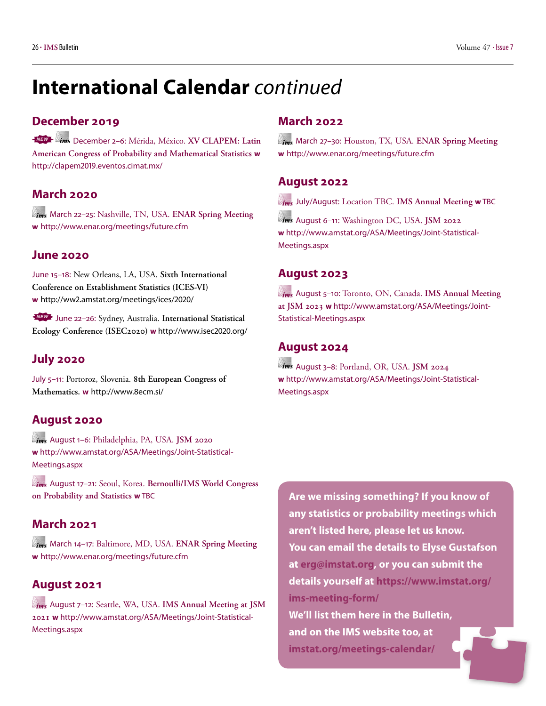## **International Calendar** *continued*

### **December 2019**

*NEW* December 2–6: Mérida, México. **XV CLAPEM: Latin American Congress of Probability and Mathematical Statistics w**  <http://clapem2019.eventos.cimat.mx/>

### **March 2020**

 March 22–25: Nashville, TN, USA. **ENAR Spring Meeting w** <http://www.enar.org/meetings/future.cfm>

### **June 2020**

June 15–18: New Orleans, LA, USA. **Sixth International Conference on Establishment Statistics (ICES-VI) w** <http://ww2.amstat.org/meetings/ices/2020/>

*NEW* June 22–26: Sydney, Australia. **International Statistical Ecology Conference (ISEC2020) w** <http://www.isec2020.org/>

### **July 2020**

July 5–11: Portoroz, Slovenia. **8th European Congress of Mathematics. w** <http://www.8ecm.si>/

### **August 2020**

 August 1–6: Philadelphia, PA, USA. **JSM 2020 w** [http://www.amstat.org/ASA/Meetings/Joint-Statistical-](http://www.amstat.org/ASA/Meetings/Joint-Statistical-Meetings.aspx)[Meetings.aspx](http://www.amstat.org/ASA/Meetings/Joint-Statistical-Meetings.aspx)

 August 17–21: Seoul, Korea. **Bernoulli/IMS World Congress on Probability and Statistics w** TBC

### **March 2021**

 March 14–17: Baltimore, MD, USA. **ENAR Spring Meeting w** <http://www.enar.org/meetings/future.cfm>

### **August 2021**

 August 7–12: Seattle, WA, USA. **IMS Annual Meeting at JSM 2021 w** [http://www.amstat.org/ASA/Meetings/Joint-Statistical-](http://www.amstat.org/ASA/Meetings/Joint-Statistical-Meetings.aspx)[Meetings.aspx](http://www.amstat.org/ASA/Meetings/Joint-Statistical-Meetings.aspx)

### **March 2022**

 March 27–30: Houston, TX, USA. **ENAR Spring Meeting w** <http://www.enar.org/meetings/future.cfm>

### **August 2022**

July/August: Location TBC. **IMS Annual Meeting w** TBC

 August 6–11: Washington DC, USA. **JSM 2022 w** [http://www.amstat.org/ASA/Meetings/Joint-Statistical-](http://www.amstat.org/ASA/Meetings/Joint-Statistical-Meetings.aspx)[Meetings.aspx](http://www.amstat.org/ASA/Meetings/Joint-Statistical-Meetings.aspx)

### **August 2023**

 August 5–10: Toronto, ON, Canada. **IMS Annual Meeting at JSM 2023 w** [http://www.amstat.org/ASA/Meetings/Joint-](http://www.amstat.org/ASA/Meetings/Joint-Statistical-Meetings.aspx)[Statistical-Meetings.aspx](http://www.amstat.org/ASA/Meetings/Joint-Statistical-Meetings.aspx)

### **August 2024**

 August 3–8: Portland, OR, USA. **JSM 2024 w** [http://www.amstat.org/ASA/Meetings/Joint-Statistical-](http://www.amstat.org/ASA/Meetings/Joint-Statistical-Meetings.aspx)[Meetings.aspx](http://www.amstat.org/ASA/Meetings/Joint-Statistical-Meetings.aspx)

**Are we missing something? If you know of any statistics or probability meetings which aren't listed here, please let us know. You can email the details to Elyse Gustafson at [erg@imstat.org](mailto:erg@imstat.org), or you can submit the details yourself at [https://www.imstat.org/](https://www.imstat.org/ims-meeting-form/) [ims-meeting-form/](https://www.imstat.org/ims-meeting-form/) We'll list them here in the Bulletin, and on the IMS website too, at [imstat.org/meetings-calendar/](https://imstat.org/meetings-calendar/)**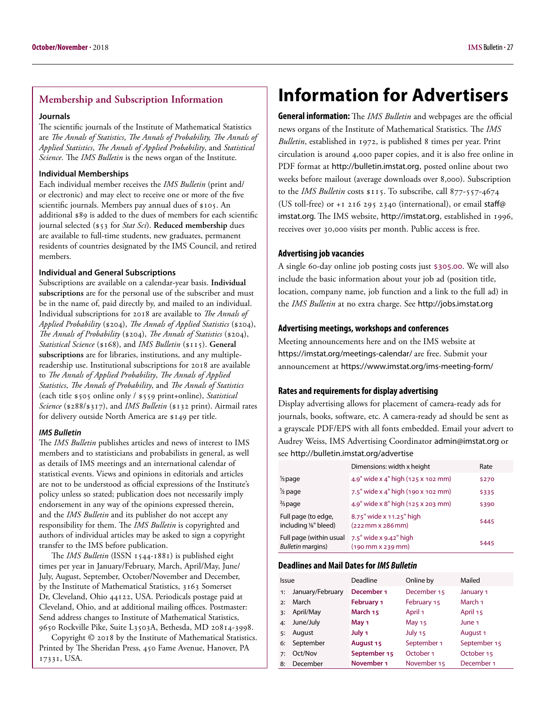#### <span id="page-26-0"></span>**Membership and Subscription Information**

#### **Journals**

The scientific journals of the Institute of Mathematical Statistics are *The Annals of Statistics*, *The Annals of Probability, The Annals of Applied Statistics*, *The Annals of Applied Probability*, and *Statistical Science*. The *IMS Bulletin* is the news organ of the Institute.

#### **Individual Memberships**

Each individual member receives the *IMS Bulletin* (print and/ or electronic) and may elect to receive one or more of the five scientific journals. Members pay annual dues of \$105. An additional \$89 is added to the dues of members for each scientific journal selected (\$53 for *Stat Sci*). **Reduced membership** dues are available to full-time students, new graduates, permanent residents of countries designated by the IMS Council, and retired members.

#### **Individual and General Subscriptions**

Subscriptions are available on a calendar-year basis. **Individual subscriptions** are for the personal use of the subscriber and must be in the name of, paid directly by, and mailed to an individual. Individual subscriptions for 2018 are available to *The Annals of Applied Probability* (\$204), *The Annals of Applied Statistics* (\$204), *The Annals of Probability* (\$204), *The Annals of Statistics* (\$204), *Statistical Science* (\$168), and *IMS Bulletin* (\$115). **General subscriptions** are for libraries, institutions, and any multiplereadership use. Institutional subscriptions for 2018 are available to *The Annals of Applied Probability*, *The Annals of Applied Statistics*, *The Annals of Probability*, and *The Annals of Statistics* (each title \$505 online only / \$559 print+online), *Statistical Science* (\$288/\$317), and *IMS Bulletin* (\$132 print). Airmail rates for delivery outside North America are \$149 per title.

#### *IMS Bulletin*

The *IMS Bulletin* publishes articles and news of interest to IMS members and to statisticians and probabilists in general, as well as details of IMS meetings and an international calendar of statistical events. Views and opinions in editorials and articles are not to be understood as official expressions of the Institute's policy unless so stated; publication does not necessarily imply endorsement in any way of the opinions expressed therein, and the *IMS Bulletin* and its publisher do not accept any responsibility for them. The *IMS Bulletin* is copyrighted and authors of individual articles may be asked to sign a copyright transfer to the IMS before publication.

The *IMS Bulletin* (ISSN 1544-1881) is published eight times per year in January/February, March, April/May, June/ July, August, September, October/November and December, by the Institute of Mathematical Statistics, 3163 Somerset Dr, Cleveland, Ohio 44122, USA. Periodicals postage paid at Cleveland, Ohio, and at additional mailing offices. Postmaster: Send address changes to Institute of Mathematical Statistics, 9650 Rockville Pike, Suite L3503A, Bethesda, MD 20814-3998.

Copyright © 2018 by the Institute of Mathematical Statistics. Printed by The Sheridan Press, 450 Fame Avenue, Hanover, PA 17331, USA.

## **Information for Advertisers**

**General information:** The *IMS Bulletin* and webpages are the official news organs of the Institute of Mathematical Statistics. The *IMS Bulletin*, established in 1972, is published 8 times per year. Print circulation is around 4,000 paper copies, and it is also free online in PDF format at <http://bulletin.imstat.org>, posted online about two weeks before mailout (average downloads over 8,000). Subscription to the *IMS Bulletin* costs \$115. To subscribe, call 877-557-4674 (US toll-free) or +1 216 295 2340 (international), or email [staff@](mailto:staff@imstat.org) [imstat.org](mailto:staff@imstat.org). The IMS website, [http://imstat.org](http://imstat.org/en/index.html), established in 1996, receives over 30,000 visits per month. Public access is free.

#### **Advertising job vacancies**

A single 60-day online job posting costs just \$305.00. We will also include the basic information about your job ad (position title, location, company name, job function and a link to the full ad) in the *IMS Bulletin* at no extra charge. See <http://jobs.imstat.org>

#### **Advertising meetings, workshops and conferences**

Meeting announcements here and on the IMS website at <https://imstat.org/meetings-calendar/> are free. Submit your announcement at <https://www.imstat.org/ims-meeting-form/>

#### **Rates and requirements for display advertising**

Display advertising allows for placement of camera-ready ads for journals, books, software, etc. A camera-ready ad should be sent as a grayscale PDF/EPS with all fonts embedded. Email your advert to Audrey Weiss, IMS Advertising Coordinator [admin@imstat.org](mailto:admin@imstat.org) or see <http://bulletin.imstat.org/advertise>

|                                                      | Dimensions: width x height                        | Rate  |
|------------------------------------------------------|---------------------------------------------------|-------|
| 1/ <sub>3</sub> page                                 | 4.9" wide x 4" high (125 x 102 mm)                | \$270 |
| 1/2 page                                             | 7.5" wide x 4" high (190 x 102 mm)                | \$335 |
| $\frac{2}{3}$ page                                   | 4.9" wide x 8" high (125 x 203 mm)                | \$390 |
| Full page (to edge,<br>including 1/8" bleed)         | 8.75" wide x 11.25" high<br>$(222$ mm $x 286$ mm) | \$445 |
| Full page (within usual<br><b>Bulletin margins</b> ) | 7.5" wide x 9.42" high<br>$(190$ mm x 239 mm)     | \$445 |

#### **Deadlines and Mail Dates for** *IMS Bulletin*

| Issue |                  | Deadline              | Online by            | Mailed       |
|-------|------------------|-----------------------|----------------------|--------------|
| 1:    | January/February | December 1            | December 15          | January 1    |
| 2:    | March            | <b>February 1</b>     | February 15          | March 1      |
| 3:    | April/May        | March 15              | April 1              | April 15     |
| 4:    | June/July        | May 1                 | May 15               | June 1       |
| 5:    | August           | July 1                | July 15              | August 1     |
| 6:    | September        | August 15             | September 1          | September 15 |
| 7:    | Oct/Nov          | September 15          | October <sub>1</sub> | October 15   |
| 8:    | December         | November <sub>1</sub> | November 15          | December 1   |